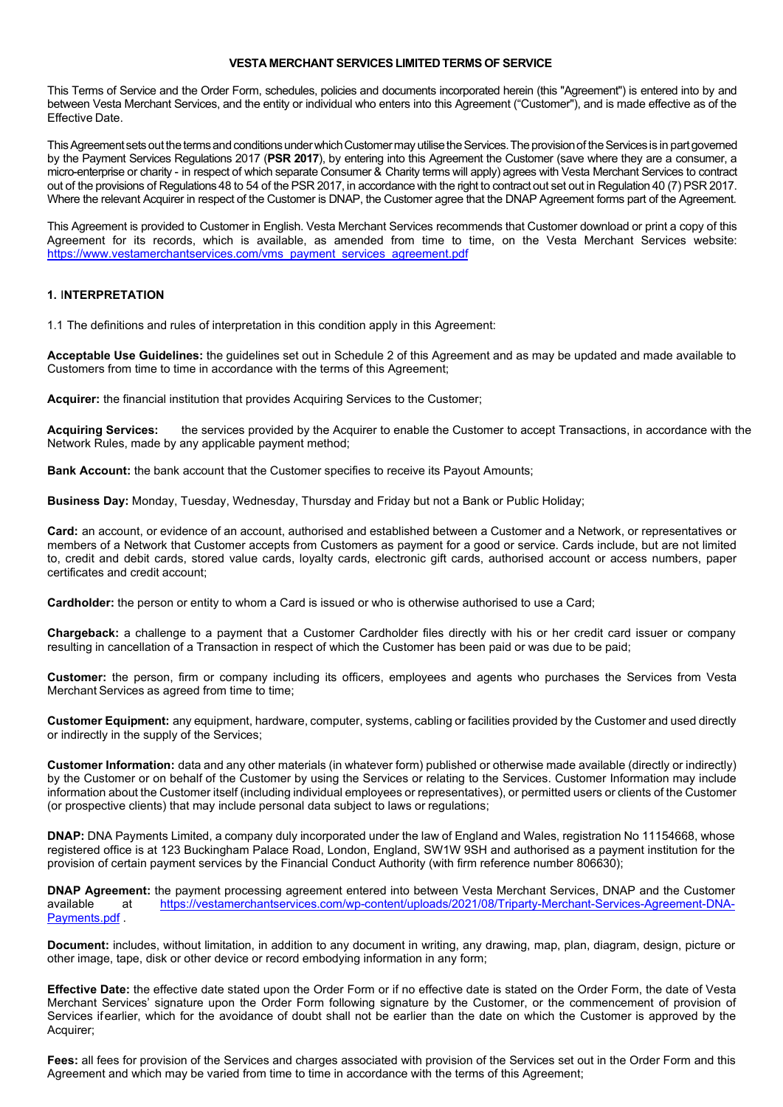### **VESTA MERCHANT SERVICES LIMITED TERMS OF SERVICE**

This Terms of Service and the Order Form, schedules, policies and documents incorporated herein (this "Agreement") is entered into by and between Vesta Merchant Services, and the entity or individual who enters into this Agreement ("Customer"), and is made effective as of the Effective Date.

This Agreement sets out the terms and conditions under which Customer may utilise the Services. The provision of the Services is in part governed by the Payment Services Regulations 2017 (**PSR 2017**), by entering into this Agreement the Customer (save where they are a consumer, a micro-enterprise or charity - in respect of which separate Consumer & Charity terms will apply) agrees with Vesta Merchant Services to contract out of the provisions of Regulations 48 to 54 of the PSR 2017, in accordance with the right to contract out set out in Regulation 40 (7) PSR 2017. Where the relevant Acquirer in respect of the Customer is DNAP, the Customer agree that the DNAP Agreement forms part of the Agreement.

This Agreement is provided to Customer in English. Vesta Merchant Services recommends that Customer download or print a copy of this Agreement for its records, which is available, as amended from time to time, on the Vesta Merchant Services website: [https://www.vestamerchantservices.com/vms\\_payment\\_services\\_agreement.pdf](https://www.vestamerchantservices.com/vms_payment_services_agreement.pdf)

#### **1.** I**NTERPRETATION**

1.1 The definitions and rules of interpretation in this condition apply in this Agreement:

**Acceptable Use Guidelines:** the guidelines set out in Schedule 2 of this Agreement and as may be updated and made available to Customers from time to time in accordance with the terms of this Agreement;

**Acquirer:** the financial institution that provides Acquiring Services to the Customer;

**Acquiring Services:** the services provided by the Acquirer to enable the Customer to accept Transactions, in accordance with the Network Rules, made by any applicable payment method;

**Bank Account:** the bank account that the Customer specifies to receive its Payout Amounts;

**Business Day:** Monday, Tuesday, Wednesday, Thursday and Friday but not a Bank or Public Holiday;

**Card:** an account, or evidence of an account, authorised and established between a Customer and a Network, or representatives or members of a Network that Customer accepts from Customers as payment for a good or service. Cards include, but are not limited to, credit and debit cards, stored value cards, loyalty cards, electronic gift cards, authorised account or access numbers, paper certificates and credit account;

**Cardholder:** the person or entity to whom a Card is issued or who is otherwise authorised to use a Card;

**Chargeback:** a challenge to a payment that a Customer Cardholder files directly with his or her credit card issuer or company resulting in cancellation of a Transaction in respect of which the Customer has been paid or was due to be paid;

**Customer:** the person, firm or company including its officers, employees and agents who purchases the Services from Vesta Merchant Services as agreed from time to time;

**Customer Equipment:** any equipment, hardware, computer, systems, cabling or facilities provided by the Customer and used directly or indirectly in the supply of the Services;

**Customer Information:** data and any other materials (in whatever form) published or otherwise made available (directly or indirectly) by the Customer or on behalf of the Customer by using the Services or relating to the Services. Customer Information may include information about the Customer itself (including individual employees or representatives), or permitted users or clients of the Customer (or prospective clients) that may include personal data subject to laws or regulations;

**DNAP:** DNA Payments Limited, a company duly incorporated under the law of England and Wales, registration No 11154668, whose registered office is at 123 Buckingham Palace Road, London, England, SW1W 9SH and authorised as a payment institution for the provision of certain payment services by the Financial Conduct Authority (with firm reference number 806630);

**DNAP Agreement:** the payment processing agreement entered into between Vesta Merchant Services, DNAP and the Customer available<br>available at https://vestamerchantservices.com/wp-content/uploads/2021/08/Triparty-Merchant-S at [https://vestamerchantservices.com/wp-content/uploads/2021/08/Triparty-Merchant-Services-Agreement-DNA-](https://vestamerchantservices.com/wp-content/uploads/2021/08/Triparty-Merchant-Services-Agreement-DNA-Payments.pdf)[Payments.pdf](https://vestamerchantservices.com/wp-content/uploads/2021/08/Triparty-Merchant-Services-Agreement-DNA-Payments.pdf) .

**Document:** includes, without limitation, in addition to any document in writing, any drawing, map, plan, diagram, design, picture or other image, tape, disk or other device or record embodying information in any form;

**Effective Date:** the effective date stated upon the Order Form or if no effective date is stated on the Order Form, the date of Vesta Merchant Services' signature upon the Order Form following signature by the Customer, or the commencement of provision of Services ifearlier, which for the avoidance of doubt shall not be earlier than the date on which the Customer is approved by the Acquirer;

**Fees:** all fees for provision of the Services and charges associated with provision of the Services set out in the Order Form and this Agreement and which may be varied from time to time in accordance with the terms of this Agreement;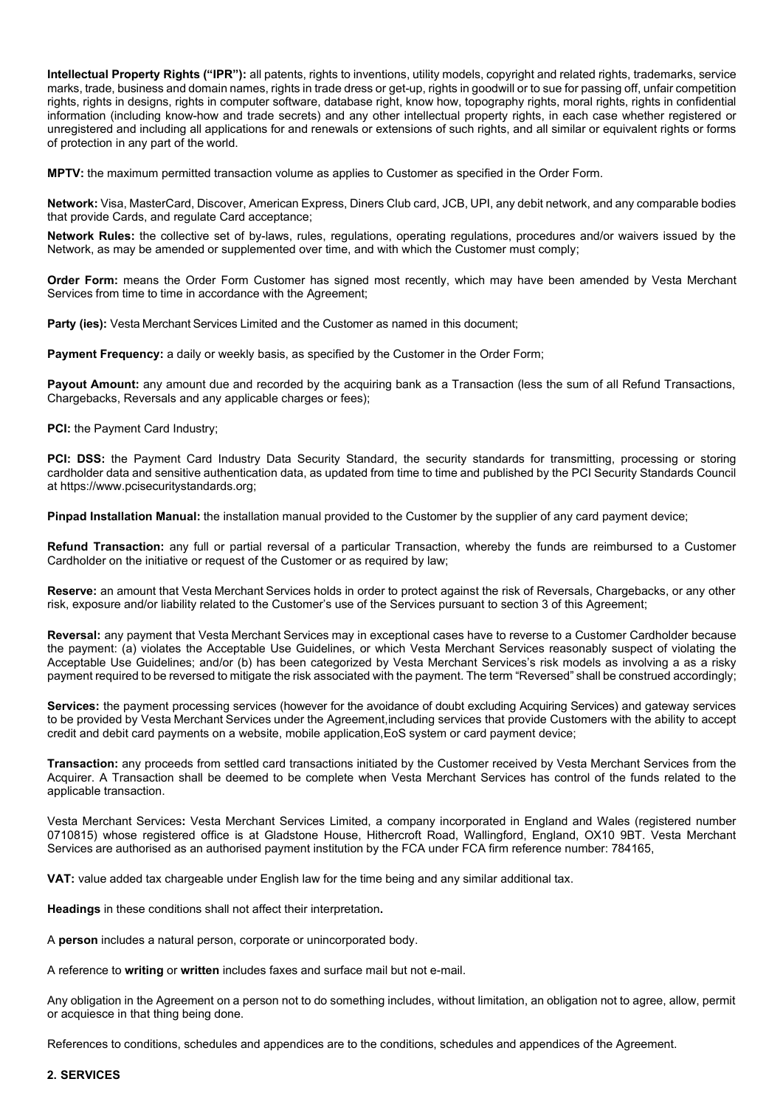**Intellectual Property Rights ("IPR"):** all patents, rights to inventions, utility models, copyright and related rights, trademarks, service marks, trade, business and domain names, rights in trade dress or get-up, rights in goodwill or to sue for passing off, unfair competition rights, rights in designs, rights in computer software, database right, know how, topography rights, moral rights, rights in confidential information (including know-how and trade secrets) and any other intellectual property rights, in each case whether registered or unregistered and including all applications for and renewals or extensions of such rights, and all similar or equivalent rights or forms of protection in any part of the world.

**MPTV:** the maximum permitted transaction volume as applies to Customer as specified in the Order Form.

**Network:** Visa, MasterCard, Discover, American Express, Diners Club card, JCB, UPI, any debit network, and any comparable bodies that provide Cards, and regulate Card acceptance;

**Network Rules:** the collective set of by-laws, rules, regulations, operating regulations, procedures and/or waivers issued by the Network, as may be amended or supplemented over time, and with which the Customer must comply;

**Order Form:** means the Order Form Customer has signed most recently, which may have been amended by Vesta Merchant Services from time to time in accordance with the Agreement;

**Party (ies):** Vesta Merchant Services Limited and the Customer as named in this document;

**Payment Frequency:** a daily or weekly basis, as specified by the Customer in the Order Form;

Payout Amount: any amount due and recorded by the acquiring bank as a Transaction (less the sum of all Refund Transactions, Chargebacks, Reversals and any applicable charges or fees);

**PCI:** the Payment Card Industry;

PCI: DSS: the Payment Card Industry Data Security Standard, the security standards for transmitting, processing or storing cardholder data and sensitive authentication data, as updated from time to time and published by the PCI Security Standards Council at https://www.pcisecuritystandards.org;

**Pinpad Installation Manual:** the installation manual provided to the Customer by the supplier of any card payment device;

**Refund Transaction:** any full or partial reversal of a particular Transaction, whereby the funds are reimbursed to a Customer Cardholder on the initiative or request of the Customer or as required by law;

**Reserve:** an amount that Vesta Merchant Services holds in order to protect against the risk of Reversals, Chargebacks, or any other risk, exposure and/or liability related to the Customer's use of the Services pursuant to section 3 of this Agreement;

**Reversal:** any payment that Vesta Merchant Services may in exceptional cases have to reverse to a Customer Cardholder because the payment: (a) violates the Acceptable Use Guidelines, or which Vesta Merchant Services reasonably suspect of violating the Acceptable Use Guidelines; and/or (b) has been categorized by Vesta Merchant Services's risk models as involving a as a risky payment required to be reversed to mitigate the risk associated with the payment. The term "Reversed" shall be construed accordingly;

**Services:** the payment processing services (however for the avoidance of doubt excluding Acquiring Services) and gateway services to be provided by Vesta Merchant Services under the Agreement,including services that provide Customers with the ability to accept credit and debit card payments on a website, mobile application,EoS system or card payment device;

**Transaction:** any proceeds from settled card transactions initiated by the Customer received by Vesta Merchant Services from the Acquirer. A Transaction shall be deemed to be complete when Vesta Merchant Services has control of the funds related to the applicable transaction.

Vesta Merchant Services**:** Vesta Merchant Services Limited, a company incorporated in England and Wales (registered number 0710815) whose registered office is at Gladstone House, Hithercroft Road, Wallingford, England, OX10 9BT. Vesta Merchant Services are authorised as an authorised payment institution by the FCA under FCA firm reference number: 784165,

**VAT:** value added tax chargeable under English law for the time being and any similar additional tax.

**Headings** in these conditions shall not affect their interpretation**.**

A **person** includes a natural person, corporate or unincorporated body.

A reference to **writing** or **written** includes faxes and surface mail but not e-mail.

Any obligation in the Agreement on a person not to do something includes, without limitation, an obligation not to agree, allow, permit or acquiesce in that thing being done.

References to conditions, schedules and appendices are to the conditions, schedules and appendices of the Agreement.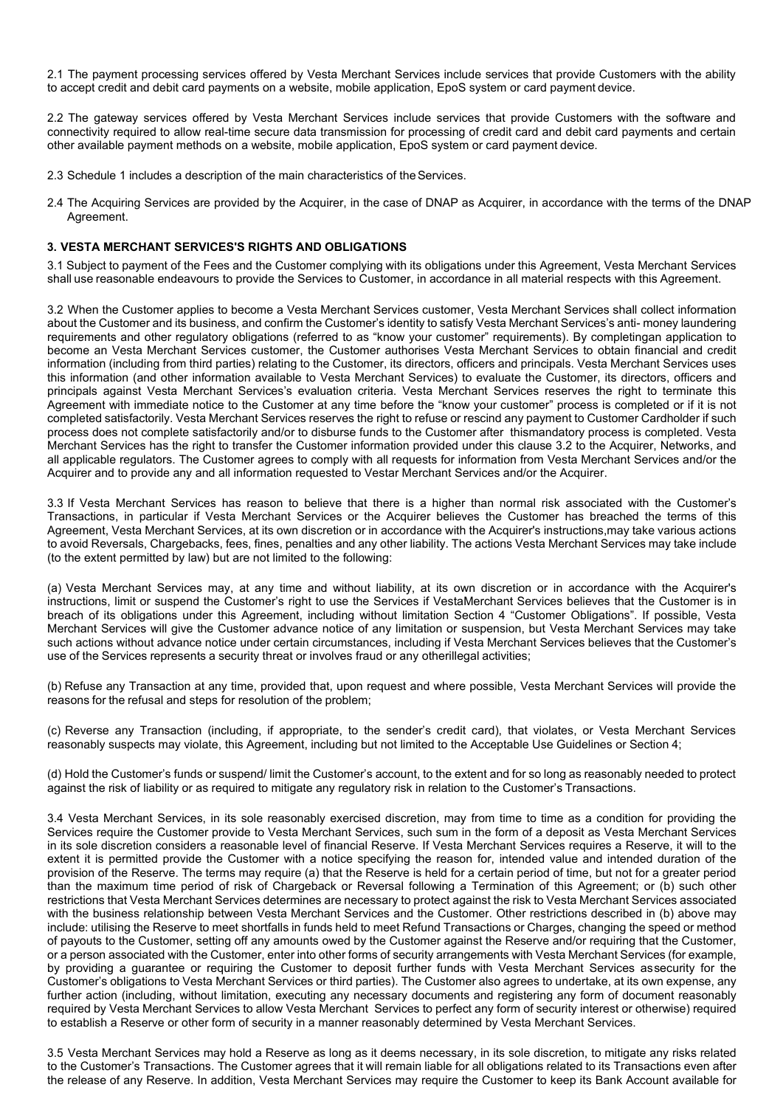2.1 The payment processing services offered by Vesta Merchant Services include services that provide Customers with the ability to accept credit and debit card payments on a website, mobile application, EpoS system or card payment device.

2.2 The gateway services offered by Vesta Merchant Services include services that provide Customers with the software and connectivity required to allow real-time secure data transmission for processing of credit card and debit card payments and certain other available payment methods on a website, mobile application, EpoS system or card payment device.

- 2.3 Schedule 1 includes a description of the main characteristics of the Services.
- 2.4 The Acquiring Services are provided by the Acquirer, in the case of DNAP as Acquirer, in accordance with the terms of the DNAP Agreement.

### **3. VESTA MERCHANT SERVICES'S RIGHTS AND OBLIGATIONS**

3.1 Subject to payment of the Fees and the Customer complying with its obligations under this Agreement, Vesta Merchant Services shall use reasonable endeavours to provide the Services to Customer, in accordance in all material respects with this Agreement.

3.2 When the Customer applies to become a Vesta Merchant Services customer, Vesta Merchant Services shall collect information about the Customer and its business, and confirm the Customer's identity to satisfy Vesta Merchant Services's anti- money laundering requirements and other regulatory obligations (referred to as "know your customer" requirements). By completingan application to become an Vesta Merchant Services customer, the Customer authorises Vesta Merchant Services to obtain financial and credit information (including from third parties) relating to the Customer, its directors, officers and principals. Vesta Merchant Services uses this information (and other information available to Vesta Merchant Services) to evaluate the Customer, its directors, officers and principals against Vesta Merchant Services's evaluation criteria. Vesta Merchant Services reserves the right to terminate this Agreement with immediate notice to the Customer at any time before the "know your customer" process is completed or if it is not completed satisfactorily. Vesta Merchant Services reserves the right to refuse or rescind any payment to Customer Cardholder if such process does not complete satisfactorily and/or to disburse funds to the Customer after thismandatory process is completed. Vesta Merchant Services has the right to transfer the Customer information provided under this clause 3.2 to the Acquirer, Networks, and all applicable regulators. The Customer agrees to comply with all requests for information from Vesta Merchant Services and/or the Acquirer and to provide any and all information requested to Vestar Merchant Services and/or the Acquirer.

3.3 If Vesta Merchant Services has reason to believe that there is a higher than normal risk associated with the Customer's Transactions, in particular if Vesta Merchant Services or the Acquirer believes the Customer has breached the terms of this Agreement, Vesta Merchant Services, at its own discretion or in accordance with the Acquirer's instructions,may take various actions to avoid Reversals, Chargebacks, fees, fines, penalties and any other liability. The actions Vesta Merchant Services may take include (to the extent permitted by law) but are not limited to the following:

(a) Vesta Merchant Services may, at any time and without liability, at its own discretion or in accordance with the Acquirer's instructions, limit or suspend the Customer's right to use the Services if VestaMerchant Services believes that the Customer is in breach of its obligations under this Agreement, including without limitation Section 4 "Customer Obligations". If possible, Vesta Merchant Services will give the Customer advance notice of any limitation or suspension, but Vesta Merchant Services may take such actions without advance notice under certain circumstances, including if Vesta Merchant Services believes that the Customer's use of the Services represents a security threat or involves fraud or any otherillegal activities;

(b) Refuse any Transaction at any time, provided that, upon request and where possible, Vesta Merchant Services will provide the reasons for the refusal and steps for resolution of the problem;

(c) Reverse any Transaction (including, if appropriate, to the sender's credit card), that violates, or Vesta Merchant Services reasonably suspects may violate, this Agreement, including but not limited to the Acceptable Use Guidelines or Section 4;

(d) Hold the Customer's funds or suspend/ limit the Customer's account, to the extent and for so long as reasonably needed to protect against the risk of liability or as required to mitigate any regulatory risk in relation to the Customer's Transactions.

3.4 Vesta Merchant Services, in its sole reasonably exercised discretion, may from time to time as a condition for providing the Services require the Customer provide to Vesta Merchant Services, such sum in the form of a deposit as Vesta Merchant Services in its sole discretion considers a reasonable level of financial Reserve. If Vesta Merchant Services requires a Reserve, it will to the extent it is permitted provide the Customer with a notice specifying the reason for, intended value and intended duration of the provision of the Reserve. The terms may require (a) that the Reserve is held for a certain period of time, but not for a greater period than the maximum time period of risk of Chargeback or Reversal following a Termination of this Agreement; or (b) such other restrictions that Vesta Merchant Services determines are necessary to protect against the risk to Vesta Merchant Services associated with the business relationship between Vesta Merchant Services and the Customer. Other restrictions described in (b) above may include: utilising the Reserve to meet shortfalls in funds held to meet Refund Transactions or Charges, changing the speed or method of payouts to the Customer, setting off any amounts owed by the Customer against the Reserve and/or requiring that the Customer, or a person associated with the Customer, enter into other forms of security arrangements with Vesta Merchant Services (for example, by providing a guarantee or requiring the Customer to deposit further funds with Vesta Merchant Services assecurity for the Customer's obligations to Vesta Merchant Services or third parties). The Customer also agrees to undertake, at its own expense, any further action (including, without limitation, executing any necessary documents and registering any form of document reasonably required by Vesta Merchant Services to allow Vesta Merchant Services to perfect any form of security interest or otherwise) required to establish a Reserve or other form of security in a manner reasonably determined by Vesta Merchant Services.

3.5 Vesta Merchant Services may hold a Reserve as long as it deems necessary, in its sole discretion, to mitigate any risks related to the Customer's Transactions. The Customer agrees that it will remain liable for all obligations related to its Transactions even after the release of any Reserve. In addition, Vesta Merchant Services may require the Customer to keep its Bank Account available for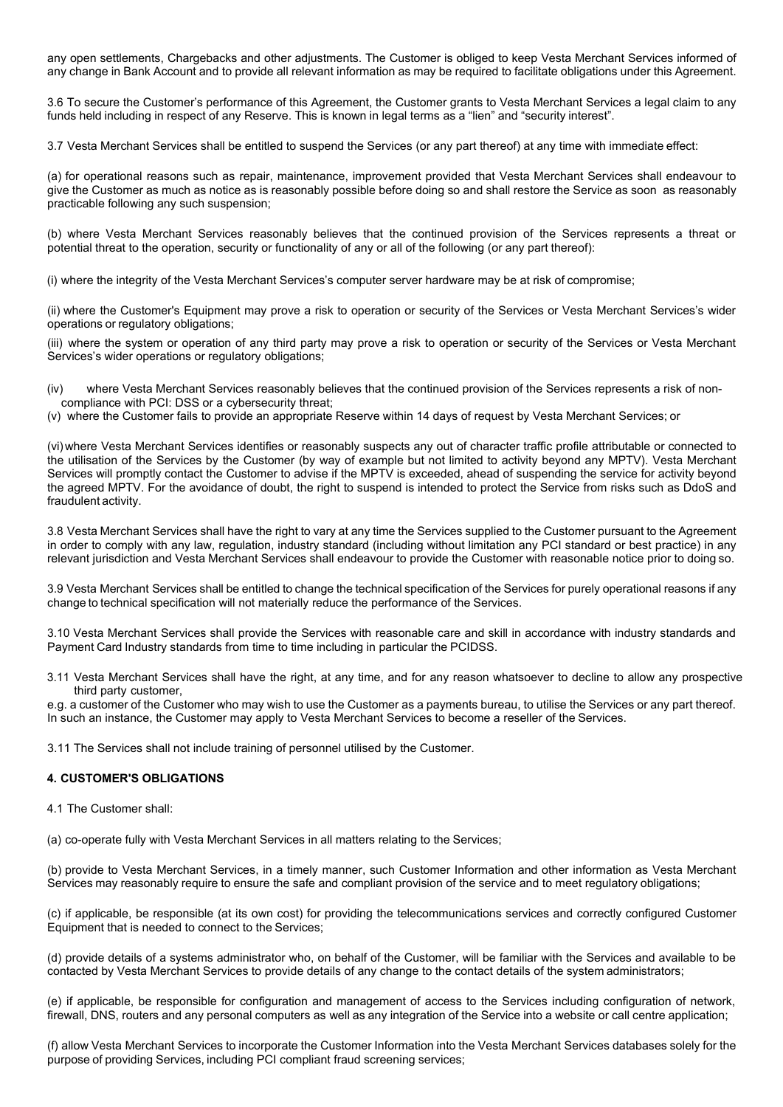any open settlements, Chargebacks and other adjustments. The Customer is obliged to keep Vesta Merchant Services informed of any change in Bank Account and to provide all relevant information as may be required to facilitate obligations under this Agreement.

3.6 To secure the Customer's performance of this Agreement, the Customer grants to Vesta Merchant Services a legal claim to any funds held including in respect of any Reserve. This is known in legal terms as a "lien" and "security interest".

3.7 Vesta Merchant Services shall be entitled to suspend the Services (or any part thereof) at any time with immediate effect:

(a) for operational reasons such as repair, maintenance, improvement provided that Vesta Merchant Services shall endeavour to give the Customer as much as notice as is reasonably possible before doing so and shall restore the Service as soon as reasonably practicable following any such suspension;

(b) where Vesta Merchant Services reasonably believes that the continued provision of the Services represents a threat or potential threat to the operation, security or functionality of any or all of the following (or any part thereof):

(i) where the integrity of the Vesta Merchant Services's computer server hardware may be at risk of compromise;

(ii) where the Customer's Equipment may prove a risk to operation or security of the Services or Vesta Merchant Services's wider operations or regulatory obligations;

(iii) where the system or operation of any third party may prove a risk to operation or security of the Services or Vesta Merchant Services's wider operations or regulatory obligations;

(iv) where Vesta Merchant Services reasonably believes that the continued provision of the Services represents a risk of noncompliance with PCI: DSS or a cybersecurity threat;

(v) where the Customer fails to provide an appropriate Reserve within 14 days of request by Vesta Merchant Services; or

(vi) where Vesta Merchant Services identifies or reasonably suspects any out of character traffic profile attributable or connected to the utilisation of the Services by the Customer (by way of example but not limited to activity beyond any MPTV). Vesta Merchant Services will promptly contact the Customer to advise if the MPTV is exceeded, ahead of suspending the service for activity beyond the agreed MPTV. For the avoidance of doubt, the right to suspend is intended to protect the Service from risks such as DdoS and fraudulent activity.

3.8 Vesta Merchant Services shall have the right to vary at any time the Services supplied to the Customer pursuant to the Agreement in order to comply with any law, regulation, industry standard (including without limitation any PCI standard or best practice) in any relevant jurisdiction and Vesta Merchant Services shall endeavour to provide the Customer with reasonable notice prior to doing so.

3.9 Vesta Merchant Services shall be entitled to change the technical specification of the Services for purely operational reasons if any change to technical specification will not materially reduce the performance of the Services.

3.10 Vesta Merchant Services shall provide the Services with reasonable care and skill in accordance with industry standards and Payment Card Industry standards from time to time including in particular the PCIDSS.

3.11 Vesta Merchant Services shall have the right, at any time, and for any reason whatsoever to decline to allow any prospective third party customer,

e.g. a customer of the Customer who may wish to use the Customer as a payments bureau, to utilise the Services or any part thereof. In such an instance, the Customer may apply to Vesta Merchant Services to become a reseller of the Services.

3.11 The Services shall not include training of personnel utilised by the Customer.

## **4. CUSTOMER'S OBLIGATIONS**

4.1 The Customer shall:

(a) co-operate fully with Vesta Merchant Services in all matters relating to the Services;

(b) provide to Vesta Merchant Services, in a timely manner, such Customer Information and other information as Vesta Merchant Services may reasonably require to ensure the safe and compliant provision of the service and to meet regulatory obligations;

(c) if applicable, be responsible (at its own cost) for providing the telecommunications services and correctly configured Customer Equipment that is needed to connect to the Services;

(d) provide details of a systems administrator who, on behalf of the Customer, will be familiar with the Services and available to be contacted by Vesta Merchant Services to provide details of any change to the contact details of the system administrators;

(e) if applicable, be responsible for configuration and management of access to the Services including configuration of network, firewall, DNS, routers and any personal computers as well as any integration of the Service into a website or call centre application;

(f) allow Vesta Merchant Services to incorporate the Customer Information into the Vesta Merchant Services databases solely for the purpose of providing Services, including PCI compliant fraud screening services;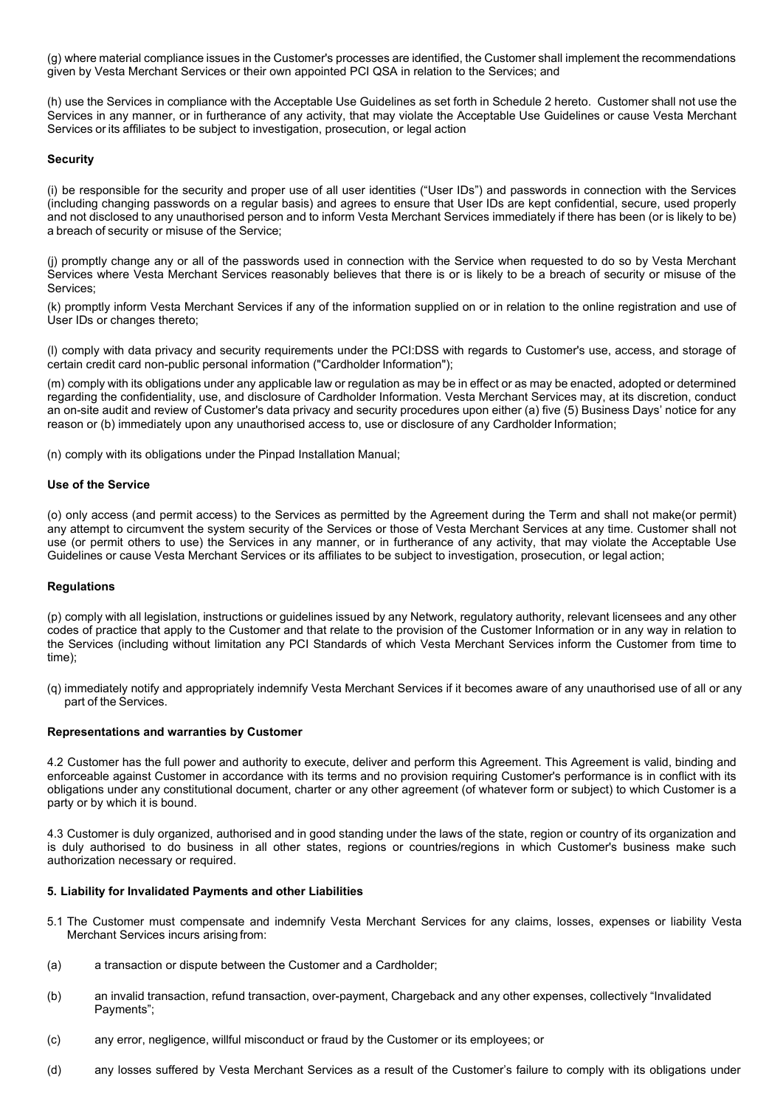(g) where material compliance issues in the Customer's processes are identified, the Customer shall implement the recommendations given by Vesta Merchant Services or their own appointed PCI QSA in relation to the Services; and

(h) use the Services in compliance with the Acceptable Use Guidelines as set forth in Schedule 2 hereto. Customer shall not use the Services in any manner, or in furtherance of any activity, that may violate the Acceptable Use Guidelines or cause Vesta Merchant Services or its affiliates to be subject to investigation, prosecution, or legal action

### **Security**

(i) be responsible for the security and proper use of all user identities ("User IDs") and passwords in connection with the Services (including changing passwords on a regular basis) and agrees to ensure that User IDs are kept confidential, secure, used properly and not disclosed to any unauthorised person and to inform Vesta Merchant Services immediately if there has been (or is likely to be) a breach of security or misuse of the Service;

(j) promptly change any or all of the passwords used in connection with the Service when requested to do so by Vesta Merchant Services where Vesta Merchant Services reasonably believes that there is or is likely to be a breach of security or misuse of the Services;

(k) promptly inform Vesta Merchant Services if any of the information supplied on or in relation to the online registration and use of User IDs or changes thereto;

(l) comply with data privacy and security requirements under the PCI:DSS with regards to Customer's use, access, and storage of certain credit card non-public personal information ("Cardholder Information");

(m) comply with its obligations under any applicable law or regulation as may be in effect or as may be enacted, adopted or determined regarding the confidentiality, use, and disclosure of Cardholder Information. Vesta Merchant Services may, at its discretion, conduct an on-site audit and review of Customer's data privacy and security procedures upon either (a) five (5) Business Days' notice for any reason or (b) immediately upon any unauthorised access to, use or disclosure of any Cardholder Information;

(n) comply with its obligations under the Pinpad Installation Manual;

#### **Use of the Service**

(o) only access (and permit access) to the Services as permitted by the Agreement during the Term and shall not make(or permit) any attempt to circumvent the system security of the Services or those of Vesta Merchant Services at any time. Customer shall not use (or permit others to use) the Services in any manner, or in furtherance of any activity, that may violate the Acceptable Use Guidelines or cause Vesta Merchant Services or its affiliates to be subject to investigation, prosecution, or legal action;

#### **Regulations**

(p) comply with all legislation, instructions or guidelines issued by any Network, regulatory authority, relevant licensees and any other codes of practice that apply to the Customer and that relate to the provision of the Customer Information or in any way in relation to the Services (including without limitation any PCI Standards of which Vesta Merchant Services inform the Customer from time to time);

(q) immediately notify and appropriately indemnify Vesta Merchant Services if it becomes aware of any unauthorised use of all or any part of the Services.

#### **Representations and warranties by Customer**

4.2 Customer has the full power and authority to execute, deliver and perform this Agreement. This Agreement is valid, binding and enforceable against Customer in accordance with its terms and no provision requiring Customer's performance is in conflict with its obligations under any constitutional document, charter or any other agreement (of whatever form or subject) to which Customer is a party or by which it is bound.

4.3 Customer is duly organized, authorised and in good standing under the laws of the state, region or country of its organization and is duly authorised to do business in all other states, regions or countries/regions in which Customer's business make such authorization necessary or required.

#### **5. Liability for Invalidated Payments and other Liabilities**

- 5.1 The Customer must compensate and indemnify Vesta Merchant Services for any claims, losses, expenses or liability Vesta Merchant Services incurs arising from:
- (a) a transaction or dispute between the Customer and a Cardholder;
- (b) an invalid transaction, refund transaction, over-payment, Chargeback and any other expenses, collectively "Invalidated Payments";
- (c) any error, negligence, willful misconduct or fraud by the Customer or its employees; or
- (d) any losses suffered by Vesta Merchant Services as a result of the Customer's failure to comply with its obligations under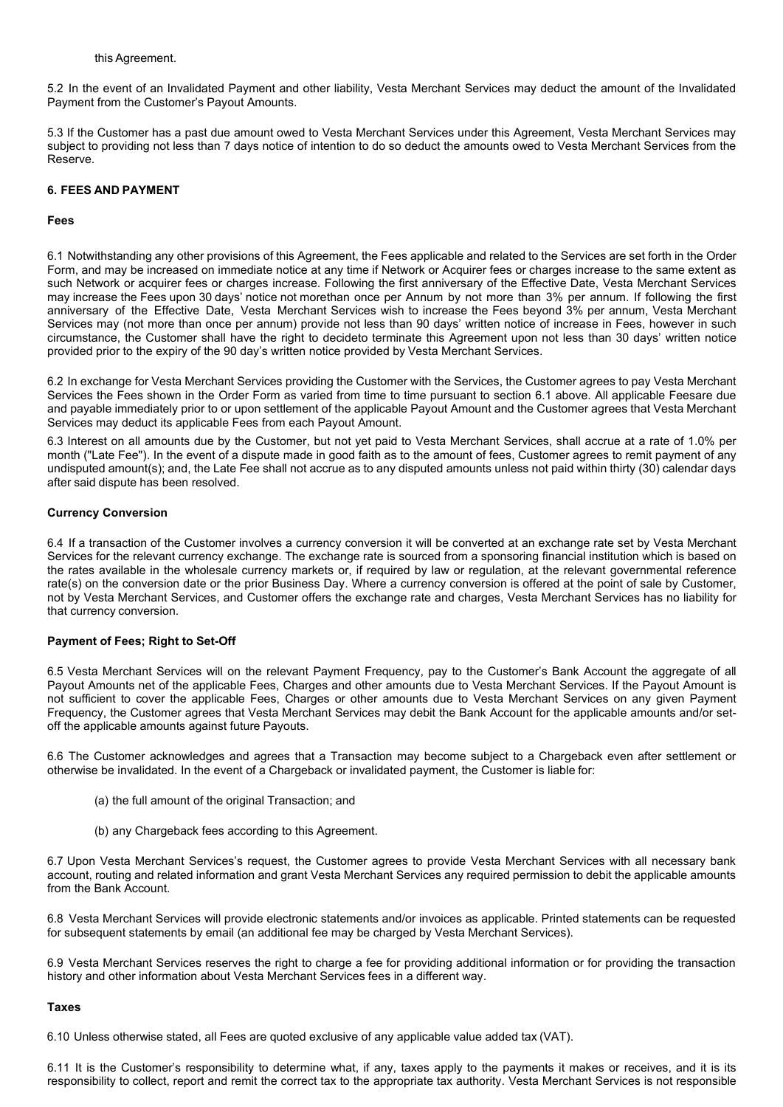5.2 In the event of an Invalidated Payment and other liability, Vesta Merchant Services may deduct the amount of the Invalidated Payment from the Customer's Payout Amounts.

5.3 If the Customer has a past due amount owed to Vesta Merchant Services under this Agreement, Vesta Merchant Services may subject to providing not less than 7 days notice of intention to do so deduct the amounts owed to Vesta Merchant Services from the Reserve.

### **6. FEES AND PAYMENT**

### **Fees**

6.1 Notwithstanding any other provisions of this Agreement, the Fees applicable and related to the Services are set forth in the Order Form, and may be increased on immediate notice at any time if Network or Acquirer fees or charges increase to the same extent as such Network or acquirer fees or charges increase. Following the first anniversary of the Effective Date, Vesta Merchant Services may increase the Fees upon 30 days' notice not morethan once per Annum by not more than 3% per annum. If following the first anniversary of the Effective Date, Vesta Merchant Services wish to increase the Fees beyond 3% per annum, Vesta Merchant Services may (not more than once per annum) provide not less than 90 days' written notice of increase in Fees, however in such circumstance, the Customer shall have the right to decideto terminate this Agreement upon not less than 30 days' written notice provided prior to the expiry of the 90 day's written notice provided by Vesta Merchant Services.

6.2 In exchange for Vesta Merchant Services providing the Customer with the Services, the Customer agrees to pay Vesta Merchant Services the Fees shown in the Order Form as varied from time to time pursuant to section 6.1 above. All applicable Feesare due and payable immediately prior to or upon settlement of the applicable Payout Amount and the Customer agrees that Vesta Merchant Services may deduct its applicable Fees from each Payout Amount.

6.3 Interest on all amounts due by the Customer, but not yet paid to Vesta Merchant Services, shall accrue at a rate of 1.0% per month ("Late Fee"). In the event of a dispute made in good faith as to the amount of fees, Customer agrees to remit payment of any undisputed amount(s); and, the Late Fee shall not accrue as to any disputed amounts unless not paid within thirty (30) calendar days after said dispute has been resolved.

### **Currency Conversion**

6.4 If a transaction of the Customer involves a currency conversion it will be converted at an exchange rate set by Vesta Merchant Services for the relevant currency exchange. The exchange rate is sourced from a sponsoring financial institution which is based on the rates available in the wholesale currency markets or, if required by law or regulation, at the relevant governmental reference rate(s) on the conversion date or the prior Business Day. Where a currency conversion is offered at the point of sale by Customer, not by Vesta Merchant Services, and Customer offers the exchange rate and charges, Vesta Merchant Services has no liability for that currency conversion.

## **Payment of Fees; Right to Set-Off**

6.5 Vesta Merchant Services will on the relevant Payment Frequency, pay to the Customer's Bank Account the aggregate of all Payout Amounts net of the applicable Fees, Charges and other amounts due to Vesta Merchant Services. If the Payout Amount is not sufficient to cover the applicable Fees, Charges or other amounts due to Vesta Merchant Services on any given Payment Frequency, the Customer agrees that Vesta Merchant Services may debit the Bank Account for the applicable amounts and/or setoff the applicable amounts against future Payouts.

6.6 The Customer acknowledges and agrees that a Transaction may become subject to a Chargeback even after settlement or otherwise be invalidated. In the event of a Chargeback or invalidated payment, the Customer is liable for:

- (a) the full amount of the original Transaction; and
- (b) any Chargeback fees according to this Agreement.

6.7 Upon Vesta Merchant Services's request, the Customer agrees to provide Vesta Merchant Services with all necessary bank account, routing and related information and grant Vesta Merchant Services any required permission to debit the applicable amounts from the Bank Account.

6.8 Vesta Merchant Services will provide electronic statements and/or invoices as applicable. Printed statements can be requested for subsequent statements by email (an additional fee may be charged by Vesta Merchant Services).

6.9 Vesta Merchant Services reserves the right to charge a fee for providing additional information or for providing the transaction history and other information about Vesta Merchant Services fees in a different way.

#### **Taxes**

6.10 Unless otherwise stated, all Fees are quoted exclusive of any applicable value added tax (VAT).

6.11 It is the Customer's responsibility to determine what, if any, taxes apply to the payments it makes or receives, and it is its responsibility to collect, report and remit the correct tax to the appropriate tax authority. Vesta Merchant Services is not responsible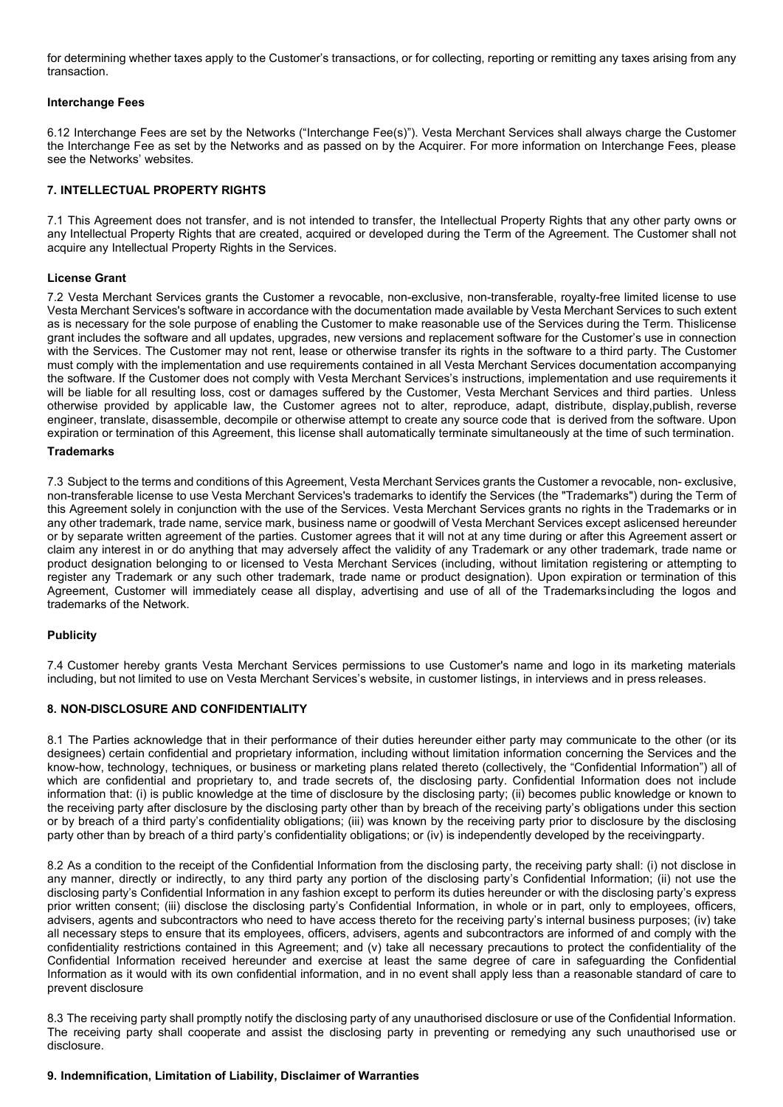for determining whether taxes apply to the Customer's transactions, or for collecting, reporting or remitting any taxes arising from any transaction.

### **Interchange Fees**

6.12 Interchange Fees are set by the Networks ("Interchange Fee(s)"). Vesta Merchant Services shall always charge the Customer the Interchange Fee as set by the Networks and as passed on by the Acquirer. For more information on Interchange Fees, please see the Networks' websites.

### **7. INTELLECTUAL PROPERTY RIGHTS**

7.1 This Agreement does not transfer, and is not intended to transfer, the Intellectual Property Rights that any other party owns or any Intellectual Property Rights that are created, acquired or developed during the Term of the Agreement. The Customer shall not acquire any Intellectual Property Rights in the Services.

### **License Grant**

7.2 Vesta Merchant Services grants the Customer a revocable, non-exclusive, non-transferable, royalty-free limited license to use Vesta Merchant Services's software in accordance with the documentation made available by Vesta Merchant Services to such extent as is necessary for the sole purpose of enabling the Customer to make reasonable use of the Services during the Term. Thislicense grant includes the software and all updates, upgrades, new versions and replacement software for the Customer's use in connection with the Services. The Customer may not rent, lease or otherwise transfer its rights in the software to a third party. The Customer must comply with the implementation and use requirements contained in all Vesta Merchant Services documentation accompanying the software. If the Customer does not comply with Vesta Merchant Services's instructions, implementation and use requirements it will be liable for all resulting loss, cost or damages suffered by the Customer, Vesta Merchant Services and third parties. Unless otherwise provided by applicable law, the Customer agrees not to alter, reproduce, adapt, distribute, display,publish, reverse engineer, translate, disassemble, decompile or otherwise attempt to create any source code that is derived from the software. Upon expiration or termination of this Agreement, this license shall automatically terminate simultaneously at the time of such termination.

### **Trademarks**

7.3 Subject to the terms and conditions of this Agreement, Vesta Merchant Services grants the Customer a revocable, non- exclusive, non-transferable license to use Vesta Merchant Services's trademarks to identify the Services (the "Trademarks") during the Term of this Agreement solely in conjunction with the use of the Services. Vesta Merchant Services grants no rights in the Trademarks or in any other trademark, trade name, service mark, business name or goodwill of Vesta Merchant Services except aslicensed hereunder or by separate written agreement of the parties. Customer agrees that it will not at any time during or after this Agreement assert or claim any interest in or do anything that may adversely affect the validity of any Trademark or any other trademark, trade name or product designation belonging to or licensed to Vesta Merchant Services (including, without limitation registering or attempting to register any Trademark or any such other trademark, trade name or product designation). Upon expiration or termination of this Agreement, Customer will immediately cease all display, advertising and use of all of the Trademarksincluding the logos and trademarks of the Network.

#### **Publicity**

7.4 Customer hereby grants Vesta Merchant Services permissions to use Customer's name and logo in its marketing materials including, but not limited to use on Vesta Merchant Services's website, in customer listings, in interviews and in press releases.

## **8. NON-DISCLOSURE AND CONFIDENTIALITY**

8.1 The Parties acknowledge that in their performance of their duties hereunder either party may communicate to the other (or its designees) certain confidential and proprietary information, including without limitation information concerning the Services and the know-how, technology, techniques, or business or marketing plans related thereto (collectively, the "Confidential Information") all of which are confidential and proprietary to, and trade secrets of, the disclosing party. Confidential Information does not include information that: (i) is public knowledge at the time of disclosure by the disclosing party; (ii) becomes public knowledge or known to the receiving party after disclosure by the disclosing party other than by breach of the receiving party's obligations under this section or by breach of a third party's confidentiality obligations; (iii) was known by the receiving party prior to disclosure by the disclosing party other than by breach of a third party's confidentiality obligations; or (iv) is independently developed by the receivingparty.

8.2 As a condition to the receipt of the Confidential Information from the disclosing party, the receiving party shall: (i) not disclose in any manner, directly or indirectly, to any third party any portion of the disclosing party's Confidential Information; (ii) not use the disclosing party's Confidential Information in any fashion except to perform its duties hereunder or with the disclosing party's express prior written consent; (iii) disclose the disclosing party's Confidential Information, in whole or in part, only to employees, officers, advisers, agents and subcontractors who need to have access thereto for the receiving party's internal business purposes; (iv) take all necessary steps to ensure that its employees, officers, advisers, agents and subcontractors are informed of and comply with the confidentiality restrictions contained in this Agreement; and (v) take all necessary precautions to protect the confidentiality of the Confidential Information received hereunder and exercise at least the same degree of care in safeguarding the Confidential Information as it would with its own confidential information, and in no event shall apply less than a reasonable standard of care to prevent disclosure

8.3 The receiving party shall promptly notify the disclosing party of any unauthorised disclosure or use of the Confidential Information. The receiving party shall cooperate and assist the disclosing party in preventing or remedying any such unauthorised use or disclosure.

#### **9. Indemnification, Limitation of Liability, Disclaimer of Warranties**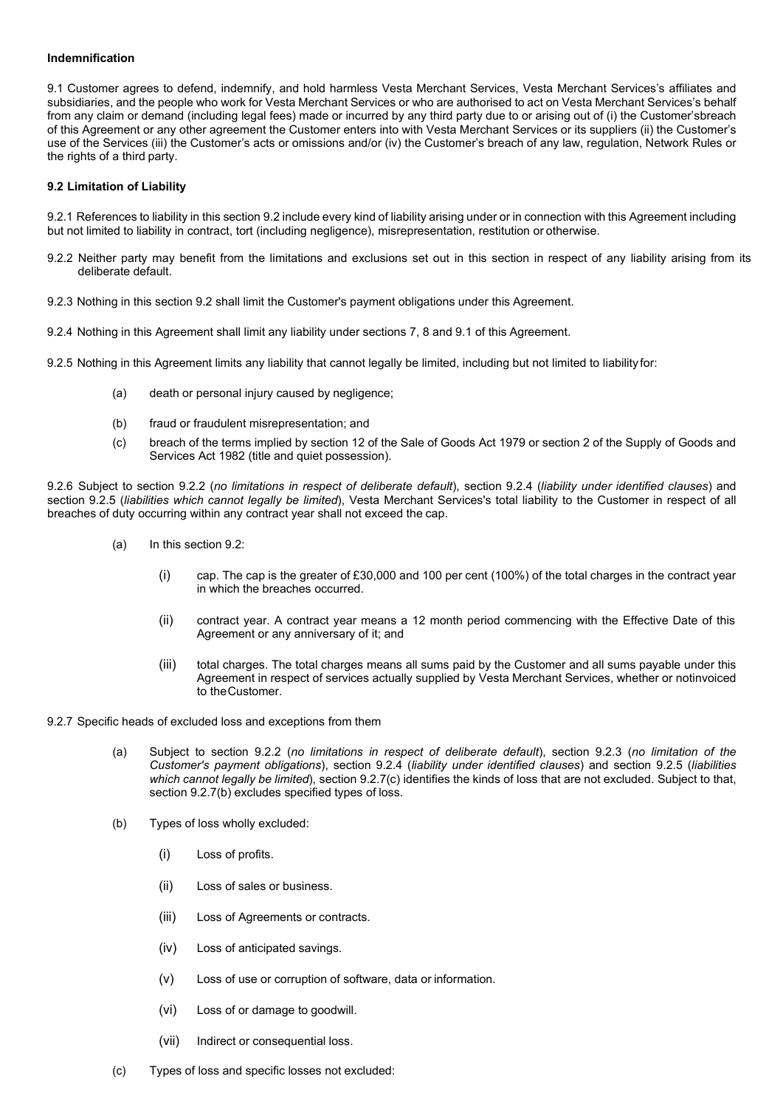### **Indemnification**

9.1 Customer agrees to defend, indemnify, and hold harmless Vesta Merchant Services, Vesta Merchant Services's affiliates and subsidiaries, and the people who work for Vesta Merchant Services or who are authorised to act on Vesta Merchant Services's behalf from any claim or demand (including legal fees) made or incurred by any third party due to or arising out of (i) the Customer'sbreach of this Agreement or any other agreement the Customer enters into with Vesta Merchant Services or its suppliers (ii) the Customer's use of the Services (iii) the Customer's acts or omissions and/or (iv) the Customer's breach of any law, regulation, Network Rules or the rights of a third party.

### **9.2 Limitation of Liability**

9.2.1 References to liability in this section 9.2 include every kind of liability arising under or in connection with this Agreement including but not limited to liability in contract, tort (including negligence), misrepresentation, restitution or otherwise.

- 9.2.2 Neither party may benefit from the limitations and exclusions set out in this section in respect of any liability arising from its deliberate default.
- 9.2.3 Nothing in this section 9.2 shall limit the Customer's payment obligations under this Agreement.
- 9.2.4 Nothing in this Agreement shall limit any liability under sections 7, 8 and 9.1 of this Agreement.

9.2.5 Nothing in this Agreement limits any liability that cannot legally be limited, including but not limited to liability for:

- (a) death or personal injury caused by negligence;
- (b) fraud or fraudulent misrepresentation; and
- (c) breach of the terms implied by section 12 of the Sale of Goods Act 1979 or section 2 of the Supply of Goods and Services Act 1982 (title and quiet possession).

9.2.6 Subject to section 9.2.2 (*no limitations in respect of deliberate default*), section 9.2.4 (*liability under identified clauses*) and section 9.2.5 (*liabilities which cannot legally be limited*), Vesta Merchant Services's total liability to the Customer in respect of all breaches of duty occurring within any contract year shall not exceed the cap.

- (a) In this section 9.2:
	- (i) cap. The cap is the greater of £30,000 and 100 per cent (100%) of the total charges in the contract year in which the breaches occurred.
	- (ii) contract year. A contract year means a 12 month period commencing with the Effective Date of this Agreement or any anniversary of it; and
	- (iii) total charges. The total charges means all sums paid by the Customer and all sums payable under this Agreement in respect of services actually supplied by Vesta Merchant Services, whether or notinvoiced to theCustomer.

9.2.7 Specific heads of excluded loss and exceptions from them

- (a) Subject to section 9.2.2 (*no limitations in respect of deliberate default*), section 9.2.3 (*no limitation of the Customer's payment obligations*), section 9.2.4 (*liability under identified clauses*) and section 9.2.5 (*liabilities which cannot legally be limited*), section 9.2.7(c) identifies the kinds of loss that are not excluded. Subject to that, section 9.2.7(b) excludes specified types of loss.
- (b) Types of loss wholly excluded:
	- (i) Loss of profits.
	- (ii) Loss of sales or business.
	- (iii) Loss of Agreements or contracts.
	- (iv) Loss of anticipated savings.
	- (v) Loss of use or corruption of software, data or information.
	- (vi) Loss of or damage to goodwill.
	- (vii) Indirect or consequential loss.
- (c) Types of loss and specific losses not excluded: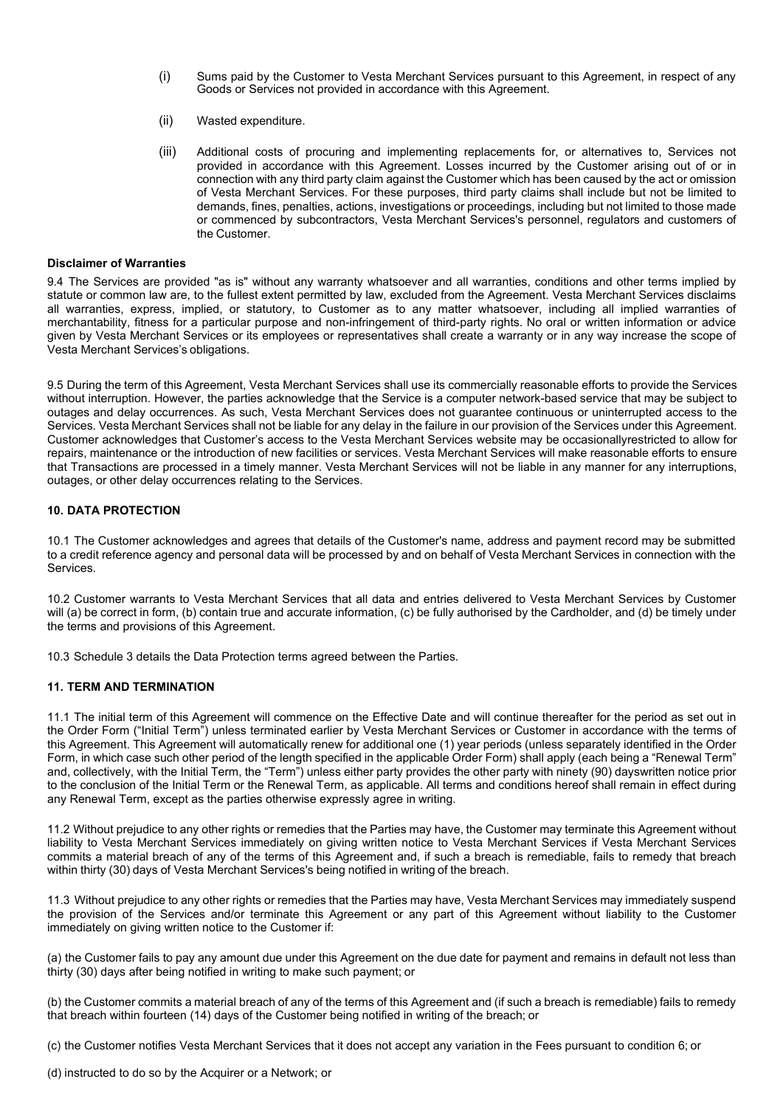- (i) Sums paid by the Customer to Vesta Merchant Services pursuant to this Agreement, in respect of any Goods or Services not provided in accordance with this Agreement.
- (ii) Wasted expenditure.
- (iii) Additional costs of procuring and implementing replacements for, or alternatives to, Services not provided in accordance with this Agreement. Losses incurred by the Customer arising out of or in connection with any third party claim against the Customer which has been caused by the act or omission of Vesta Merchant Services. For these purposes, third party claims shall include but not be limited to demands, fines, penalties, actions, investigations or proceedings, including but not limited to those made or commenced by subcontractors, Vesta Merchant Services's personnel, regulators and customers of the Customer.

#### **Disclaimer of Warranties**

9.4 The Services are provided "as is" without any warranty whatsoever and all warranties, conditions and other terms implied by statute or common law are, to the fullest extent permitted by law, excluded from the Agreement. Vesta Merchant Services disclaims all warranties, express, implied, or statutory, to Customer as to any matter whatsoever, including all implied warranties of merchantability, fitness for a particular purpose and non-infringement of third-party rights. No oral or written information or advice given by Vesta Merchant Services or its employees or representatives shall create a warranty or in any way increase the scope of Vesta Merchant Services's obligations.

9.5 During the term of this Agreement, Vesta Merchant Services shall use its commercially reasonable efforts to provide the Services without interruption. However, the parties acknowledge that the Service is a computer network-based service that may be subject to outages and delay occurrences. As such, Vesta Merchant Services does not guarantee continuous or uninterrupted access to the Services. Vesta Merchant Services shall not be liable for any delay in the failure in our provision of the Services under this Agreement. Customer acknowledges that Customer's access to the Vesta Merchant Services website may be occasionallyrestricted to allow for repairs, maintenance or the introduction of new facilities or services. Vesta Merchant Services will make reasonable efforts to ensure that Transactions are processed in a timely manner. Vesta Merchant Services will not be liable in any manner for any interruptions, outages, or other delay occurrences relating to the Services.

#### **10. DATA PROTECTION**

10.1 The Customer acknowledges and agrees that details of the Customer's name, address and payment record may be submitted to a credit reference agency and personal data will be processed by and on behalf of Vesta Merchant Services in connection with the Services.

10.2 Customer warrants to Vesta Merchant Services that all data and entries delivered to Vesta Merchant Services by Customer will (a) be correct in form, (b) contain true and accurate information, (c) be fully authorised by the Cardholder, and (d) be timely under the terms and provisions of this Agreement.

10.3 Schedule 3 details the Data Protection terms agreed between the Parties.

### **11. TERM AND TERMINATION**

11.1 The initial term of this Agreement will commence on the Effective Date and will continue thereafter for the period as set out in the Order Form ("Initial Term") unless terminated earlier by Vesta Merchant Services or Customer in accordance with the terms of this Agreement. This Agreement will automatically renew for additional one (1) year periods (unless separately identified in the Order Form, in which case such other period of the length specified in the applicable Order Form) shall apply (each being a "Renewal Term" and, collectively, with the Initial Term, the "Term") unless either party provides the other party with ninety (90) dayswritten notice prior to the conclusion of the Initial Term or the Renewal Term, as applicable. All terms and conditions hereof shall remain in effect during any Renewal Term, except as the parties otherwise expressly agree in writing.

11.2 Without prejudice to any other rights or remedies that the Parties may have, the Customer may terminate this Agreement without liability to Vesta Merchant Services immediately on giving written notice to Vesta Merchant Services if Vesta Merchant Services commits a material breach of any of the terms of this Agreement and, if such a breach is remediable, fails to remedy that breach within thirty (30) days of Vesta Merchant Services's being notified in writing of the breach.

11.3 Without prejudice to any other rights or remedies that the Parties may have, Vesta Merchant Services may immediately suspend the provision of the Services and/or terminate this Agreement or any part of this Agreement without liability to the Customer immediately on giving written notice to the Customer if:

(a) the Customer fails to pay any amount due under this Agreement on the due date for payment and remains in default not less than thirty (30) days after being notified in writing to make such payment; or

(b) the Customer commits a material breach of any of the terms of this Agreement and (if such a breach is remediable) fails to remedy that breach within fourteen (14) days of the Customer being notified in writing of the breach; or

(c) the Customer notifies Vesta Merchant Services that it does not accept any variation in the Fees pursuant to condition 6; or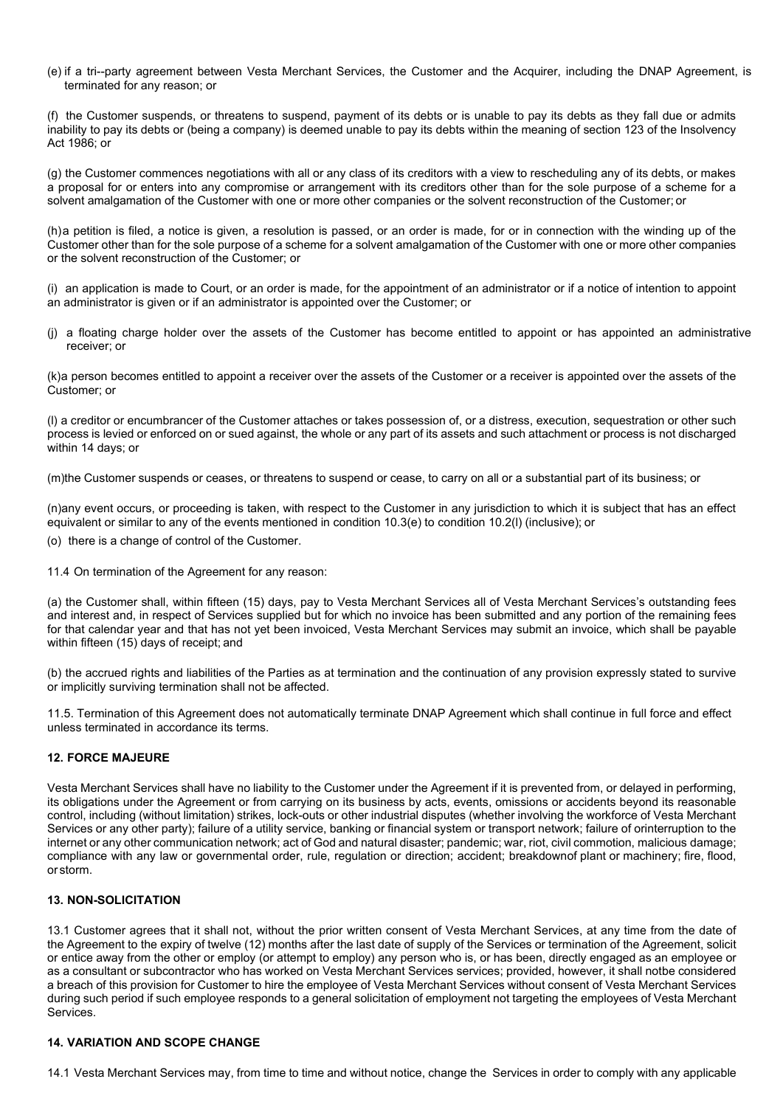(e) if a tri--party agreement between Vesta Merchant Services, the Customer and the Acquirer, including the DNAP Agreement, is terminated for any reason; or

(f) the Customer suspends, or threatens to suspend, payment of its debts or is unable to pay its debts as they fall due or admits inability to pay its debts or (being a company) is deemed unable to pay its debts within the meaning of section 123 of the Insolvency Act 1986; or

(g) the Customer commences negotiations with all or any class of its creditors with a view to rescheduling any of its debts, or makes a proposal for or enters into any compromise or arrangement with its creditors other than for the sole purpose of a scheme for a solvent amalgamation of the Customer with one or more other companies or the solvent reconstruction of the Customer; or

(h)a petition is filed, a notice is given, a resolution is passed, or an order is made, for or in connection with the winding up of the Customer other than for the sole purpose of a scheme for a solvent amalgamation of the Customer with one or more other companies or the solvent reconstruction of the Customer; or

(i) an application is made to Court, or an order is made, for the appointment of an administrator or if a notice of intention to appoint an administrator is given or if an administrator is appointed over the Customer; or

(j) a floating charge holder over the assets of the Customer has become entitled to appoint or has appointed an administrative receiver; or

(k)a person becomes entitled to appoint a receiver over the assets of the Customer or a receiver is appointed over the assets of the Customer; or

(l) a creditor or encumbrancer of the Customer attaches or takes possession of, or a distress, execution, sequestration or other such process is levied or enforced on or sued against, the whole or any part of its assets and such attachment or process is not discharged within 14 days; or

(m)the Customer suspends or ceases, or threatens to suspend or cease, to carry on all or a substantial part of its business; or

(n)any event occurs, or proceeding is taken, with respect to the Customer in any jurisdiction to which it is subject that has an effect equivalent or similar to any of the events mentioned in condition 10.3(e) to condition 10.2(l) (inclusive); or

(o) there is a change of control of the Customer.

11.4 On termination of the Agreement for any reason:

(a) the Customer shall, within fifteen (15) days, pay to Vesta Merchant Services all of Vesta Merchant Services's outstanding fees and interest and, in respect of Services supplied but for which no invoice has been submitted and any portion of the remaining fees for that calendar year and that has not yet been invoiced, Vesta Merchant Services may submit an invoice, which shall be payable within fifteen (15) days of receipt; and

(b) the accrued rights and liabilities of the Parties as at termination and the continuation of any provision expressly stated to survive or implicitly surviving termination shall not be affected.

11.5. Termination of this Agreement does not automatically terminate DNAP Agreement which shall continue in full force and effect unless terminated in accordance its terms.

## **12. FORCE MAJEURE**

Vesta Merchant Services shall have no liability to the Customer under the Agreement if it is prevented from, or delayed in performing, its obligations under the Agreement or from carrying on its business by acts, events, omissions or accidents beyond its reasonable control, including (without limitation) strikes, lock-outs or other industrial disputes (whether involving the workforce of Vesta Merchant Services or any other party); failure of a utility service, banking or financial system or transport network; failure of orinterruption to the internet or any other communication network; act of God and natural disaster; pandemic; war, riot, civil commotion, malicious damage; compliance with any law or governmental order, rule, regulation or direction; accident; breakdownof plant or machinery; fire, flood, or storm.

## **13. NON-SOLICITATION**

13.1 Customer agrees that it shall not, without the prior written consent of Vesta Merchant Services, at any time from the date of the Agreement to the expiry of twelve (12) months after the last date of supply of the Services or termination of the Agreement, solicit or entice away from the other or employ (or attempt to employ) any person who is, or has been, directly engaged as an employee or as a consultant or subcontractor who has worked on Vesta Merchant Services services; provided, however, it shall notbe considered a breach of this provision for Customer to hire the employee of Vesta Merchant Services without consent of Vesta Merchant Services during such period if such employee responds to a general solicitation of employment not targeting the employees of Vesta Merchant Services.

## **14. VARIATION AND SCOPE CHANGE**

14.1 Vesta Merchant Services may, from time to time and without notice, change the Services in order to comply with any applicable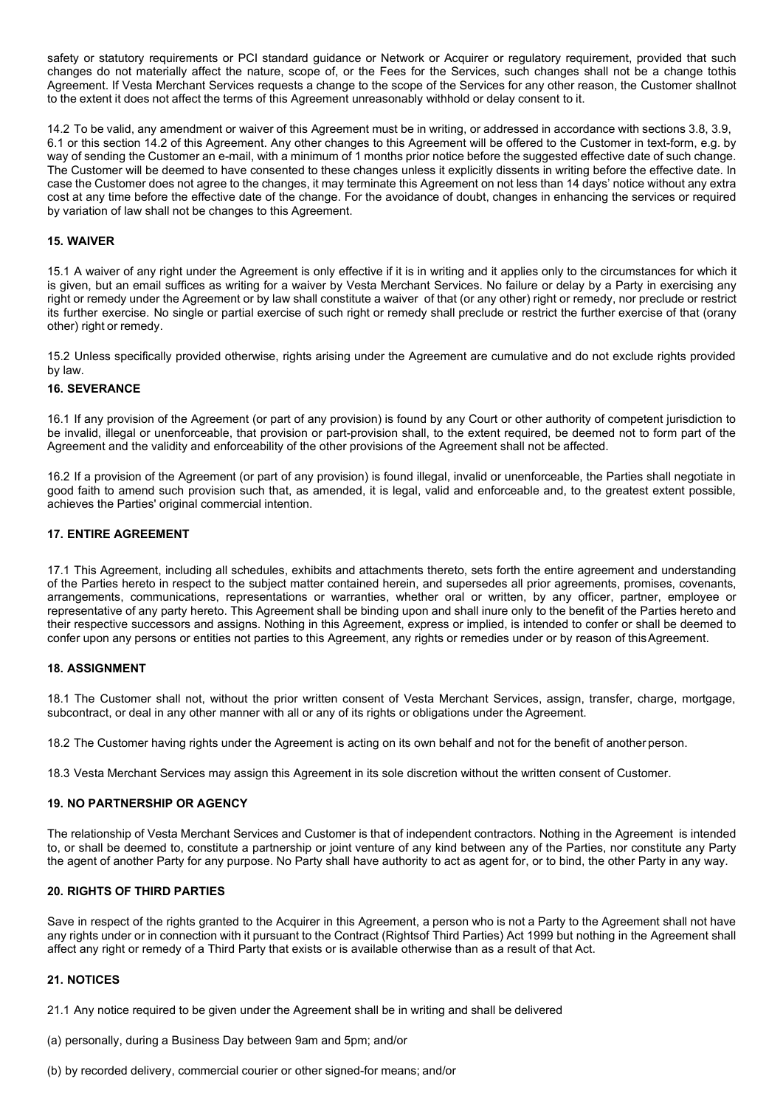safety or statutory requirements or PCI standard guidance or Network or Acquirer or regulatory requirement, provided that such changes do not materially affect the nature, scope of, or the Fees for the Services, such changes shall not be a change tothis Agreement. If Vesta Merchant Services requests a change to the scope of the Services for any other reason, the Customer shallnot to the extent it does not affect the terms of this Agreement unreasonably withhold or delay consent to it.

14.2 To be valid, any amendment or waiver of this Agreement must be in writing, or addressed in accordance with sections 3.8, 3.9, 6.1 or this section 14.2 of this Agreement. Any other changes to this Agreement will be offered to the Customer in text-form, e.g. by way of sending the Customer an e-mail, with a minimum of 1 months prior notice before the suggested effective date of such change. The Customer will be deemed to have consented to these changes unless it explicitly dissents in writing before the effective date. In case the Customer does not agree to the changes, it may terminate this Agreement on not less than 14 days' notice without any extra cost at any time before the effective date of the change. For the avoidance of doubt, changes in enhancing the services or required by variation of law shall not be changes to this Agreement.

### **15. WAIVER**

15.1 A waiver of any right under the Agreement is only effective if it is in writing and it applies only to the circumstances for which it is given, but an email suffices as writing for a waiver by Vesta Merchant Services. No failure or delay by a Party in exercising any right or remedy under the Agreement or by law shall constitute a waiver of that (or any other) right or remedy, nor preclude or restrict its further exercise. No single or partial exercise of such right or remedy shall preclude or restrict the further exercise of that (orany other) right or remedy.

15.2 Unless specifically provided otherwise, rights arising under the Agreement are cumulative and do not exclude rights provided by law.

### **16. SEVERANCE**

16.1 If any provision of the Agreement (or part of any provision) is found by any Court or other authority of competent jurisdiction to be invalid, illegal or unenforceable, that provision or part-provision shall, to the extent required, be deemed not to form part of the Agreement and the validity and enforceability of the other provisions of the Agreement shall not be affected.

16.2 If a provision of the Agreement (or part of any provision) is found illegal, invalid or unenforceable, the Parties shall negotiate in good faith to amend such provision such that, as amended, it is legal, valid and enforceable and, to the greatest extent possible, achieves the Parties' original commercial intention.

## **17. ENTIRE AGREEMENT**

17.1 This Agreement, including all schedules, exhibits and attachments thereto, sets forth the entire agreement and understanding of the Parties hereto in respect to the subject matter contained herein, and supersedes all prior agreements, promises, covenants, arrangements, communications, representations or warranties, whether oral or written, by any officer, partner, employee or representative of any party hereto. This Agreement shall be binding upon and shall inure only to the benefit of the Parties hereto and their respective successors and assigns. Nothing in this Agreement, express or implied, is intended to confer or shall be deemed to confer upon any persons or entities not parties to this Agreement, any rights or remedies under or by reason of thisAgreement.

#### **18. ASSIGNMENT**

18.1 The Customer shall not, without the prior written consent of Vesta Merchant Services, assign, transfer, charge, mortgage, subcontract, or deal in any other manner with all or any of its rights or obligations under the Agreement.

18.2 The Customer having rights under the Agreement is acting on its own behalf and not for the benefit of another person.

18.3 Vesta Merchant Services may assign this Agreement in its sole discretion without the written consent of Customer.

## **19. NO PARTNERSHIP OR AGENCY**

The relationship of Vesta Merchant Services and Customer is that of independent contractors. Nothing in the Agreement is intended to, or shall be deemed to, constitute a partnership or joint venture of any kind between any of the Parties, nor constitute any Party the agent of another Party for any purpose. No Party shall have authority to act as agent for, or to bind, the other Party in any way.

## **20. RIGHTS OF THIRD PARTIES**

Save in respect of the rights granted to the Acquirer in this Agreement, a person who is not a Party to the Agreement shall not have any rights under or in connection with it pursuant to the Contract (Rightsof Third Parties) Act 1999 but nothing in the Agreement shall affect any right or remedy of a Third Party that exists or is available otherwise than as a result of that Act.

## **21. NOTICES**

21.1 Any notice required to be given under the Agreement shall be in writing and shall be delivered

- (a) personally, during a Business Day between 9am and 5pm; and/or
- (b) by recorded delivery, commercial courier or other signed-for means; and/or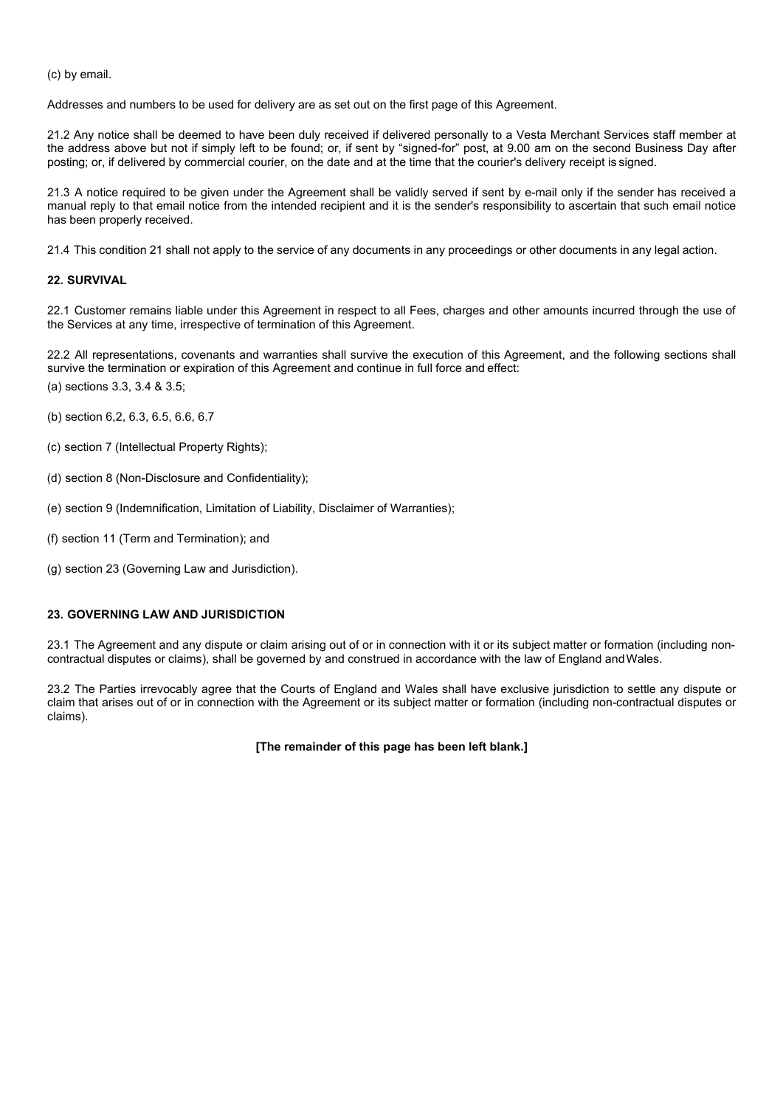(c) by email.

Addresses and numbers to be used for delivery are as set out on the first page of this Agreement.

21.2 Any notice shall be deemed to have been duly received if delivered personally to a Vesta Merchant Services staff member at the address above but not if simply left to be found; or, if sent by "signed-for" post, at 9.00 am on the second Business Day after posting; or, if delivered by commercial courier, on the date and at the time that the courier's delivery receipt is signed.

21.3 A notice required to be given under the Agreement shall be validly served if sent by e-mail only if the sender has received a manual reply to that email notice from the intended recipient and it is the sender's responsibility to ascertain that such email notice has been properly received.

21.4 This condition 21 shall not apply to the service of any documents in any proceedings or other documents in any legal action.

## **22. SURVIVAL**

22.1 Customer remains liable under this Agreement in respect to all Fees, charges and other amounts incurred through the use of the Services at any time, irrespective of termination of this Agreement.

22.2 All representations, covenants and warranties shall survive the execution of this Agreement, and the following sections shall survive the termination or expiration of this Agreement and continue in full force and effect: (a) sections 3.3, 3.4 & 3.5;

- (b) section 6,2, 6.3, 6.5, 6.6, 6.7
- (c) section 7 (Intellectual Property Rights);
- (d) section 8 (Non-Disclosure and Confidentiality);
- (e) section 9 (Indemnification, Limitation of Liability, Disclaimer of Warranties);
- (f) section 11 (Term and Termination); and
- (g) section 23 (Governing Law and Jurisdiction).

### **23. GOVERNING LAW AND JURISDICTION**

23.1 The Agreement and any dispute or claim arising out of or in connection with it or its subject matter or formation (including noncontractual disputes or claims), shall be governed by and construed in accordance with the law of England andWales.

23.2 The Parties irrevocably agree that the Courts of England and Wales shall have exclusive jurisdiction to settle any dispute or claim that arises out of or in connection with the Agreement or its subject matter or formation (including non-contractual disputes or claims).

#### **[The remainder of this page has been left blank.]**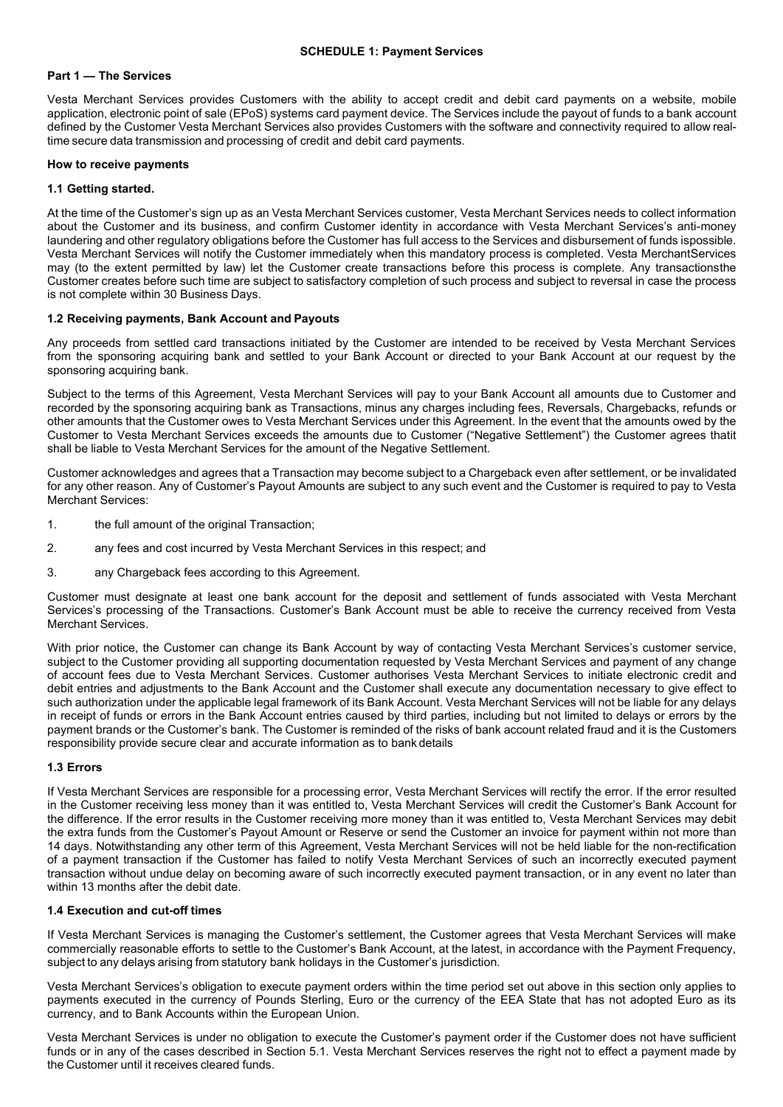### **SCHEDULE 1: Payment Services**

### **Part 1 — The Services**

Vesta Merchant Services provides Customers with the ability to accept credit and debit card payments on a website, mobile application, electronic point of sale (EPoS) systems card payment device. The Services include the payout of funds to a bank account defined by the Customer Vesta Merchant Services also provides Customers with the software and connectivity required to allow realtime secure data transmission and processing of credit and debit card payments.

### **How to receive payments**

## **1.1 Getting started.**

At the time of the Customer's sign up as an Vesta Merchant Services customer, Vesta Merchant Services needs to collect information about the Customer and its business, and confirm Customer identity in accordance with Vesta Merchant Services's anti-money laundering and other regulatory obligations before the Customer has full access to the Services and disbursement of funds ispossible. Vesta Merchant Services will notify the Customer immediately when this mandatory process is completed. Vesta MerchantServices may (to the extent permitted by law) let the Customer create transactions before this process is complete. Any transactionsthe Customer creates before such time are subject to satisfactory completion of such process and subject to reversal in case the process is not complete within 30 Business Days.

### **1.2 Receiving payments, Bank Account and Payouts**

Any proceeds from settled card transactions initiated by the Customer are intended to be received by Vesta Merchant Services from the sponsoring acquiring bank and settled to your Bank Account or directed to your Bank Account at our request by the sponsoring acquiring bank.

Subject to the terms of this Agreement, Vesta Merchant Services will pay to your Bank Account all amounts due to Customer and recorded by the sponsoring acquiring bank as Transactions, minus any charges including fees, Reversals, Chargebacks, refunds or other amounts that the Customer owes to Vesta Merchant Services under this Agreement. In the event that the amounts owed by the Customer to Vesta Merchant Services exceeds the amounts due to Customer ("Negative Settlement") the Customer agrees thatit shall be liable to Vesta Merchant Services for the amount of the Negative Settlement.

Customer acknowledges and agrees that a Transaction may become subject to a Chargeback even after settlement, or be invalidated for any other reason. Any of Customer's Payout Amounts are subject to any such event and the Customer is required to pay to Vesta Merchant Services:

- 1. the full amount of the original Transaction;
- 2. any fees and cost incurred by Vesta Merchant Services in this respect; and
- 3. any Chargeback fees according to this Agreement.

Customer must designate at least one bank account for the deposit and settlement of funds associated with Vesta Merchant Services's processing of the Transactions. Customer's Bank Account must be able to receive the currency received from Vesta Merchant Services.

With prior notice, the Customer can change its Bank Account by way of contacting Vesta Merchant Services's customer service, subject to the Customer providing all supporting documentation requested by Vesta Merchant Services and payment of any change of account fees due to Vesta Merchant Services. Customer authorises Vesta Merchant Services to initiate electronic credit and debit entries and adjustments to the Bank Account and the Customer shall execute any documentation necessary to give effect to such authorization under the applicable legal framework of its Bank Account. Vesta Merchant Services will not be liable for any delays in receipt of funds or errors in the Bank Account entries caused by third parties, including but not limited to delays or errors by the payment brands or the Customer's bank. The Customer is reminded of the risks of bank account related fraud and it is the Customers responsibility provide secure clear and accurate information as to bank details

## **1.3 Errors**

If Vesta Merchant Services are responsible for a processing error, Vesta Merchant Services will rectify the error. If the error resulted in the Customer receiving less money than it was entitled to, Vesta Merchant Services will credit the Customer's Bank Account for the difference. If the error results in the Customer receiving more money than it was entitled to, Vesta Merchant Services may debit the extra funds from the Customer's Payout Amount or Reserve or send the Customer an invoice for payment within not more than 14 days. Notwithstanding any other term of this Agreement, Vesta Merchant Services will not be held liable for the non-rectification of a payment transaction if the Customer has failed to notify Vesta Merchant Services of such an incorrectly executed payment transaction without undue delay on becoming aware of such incorrectly executed payment transaction, or in any event no later than within 13 months after the debit date.

## **1.4 Execution and cut-off times**

If Vesta Merchant Services is managing the Customer's settlement, the Customer agrees that Vesta Merchant Services will make commercially reasonable efforts to settle to the Customer's Bank Account, at the latest, in accordance with the Payment Frequency, subject to any delays arising from statutory bank holidays in the Customer's jurisdiction.

Vesta Merchant Services's obligation to execute payment orders within the time period set out above in this section only applies to payments executed in the currency of Pounds Sterling, Euro or the currency of the EEA State that has not adopted Euro as its currency, and to Bank Accounts within the European Union.

Vesta Merchant Services is under no obligation to execute the Customer's payment order if the Customer does not have sufficient funds or in any of the cases described in Section 5.1. Vesta Merchant Services reserves the right not to effect a payment made by the Customer until it receives cleared funds.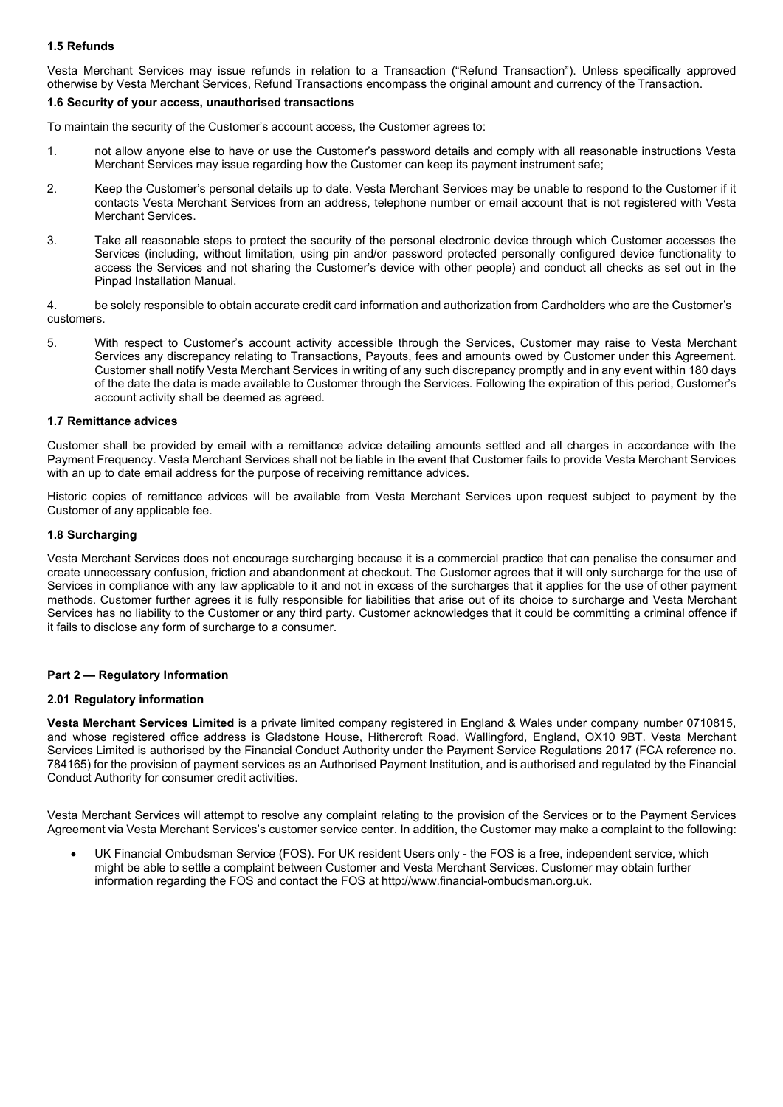# **1.5 Refunds**

Vesta Merchant Services may issue refunds in relation to a Transaction ("Refund Transaction"). Unless specifically approved otherwise by Vesta Merchant Services, Refund Transactions encompass the original amount and currency of the Transaction.

### **1.6 Security of your access, unauthorised transactions**

To maintain the security of the Customer's account access, the Customer agrees to:

- 1. not allow anyone else to have or use the Customer's password details and comply with all reasonable instructions Vesta Merchant Services may issue regarding how the Customer can keep its payment instrument safe;
- 2. Keep the Customer's personal details up to date. Vesta Merchant Services may be unable to respond to the Customer if it contacts Vesta Merchant Services from an address, telephone number or email account that is not registered with Vesta Merchant Services.
- 3. Take all reasonable steps to protect the security of the personal electronic device through which Customer accesses the Services (including, without limitation, using pin and/or password protected personally configured device functionality to access the Services and not sharing the Customer's device with other people) and conduct all checks as set out in the Pinpad Installation Manual.
- 4. be solely responsible to obtain accurate credit card information and authorization from Cardholders who are the Customer's customers.
- 5. With respect to Customer's account activity accessible through the Services, Customer may raise to Vesta Merchant Services any discrepancy relating to Transactions, Payouts, fees and amounts owed by Customer under this Agreement. Customer shall notify Vesta Merchant Services in writing of any such discrepancy promptly and in any event within 180 days of the date the data is made available to Customer through the Services. Following the expiration of this period, Customer's account activity shall be deemed as agreed.

### **1.7 Remittance advices**

Customer shall be provided by email with a remittance advice detailing amounts settled and all charges in accordance with the Payment Frequency. Vesta Merchant Services shall not be liable in the event that Customer fails to provide Vesta Merchant Services with an up to date email address for the purpose of receiving remittance advices.

Historic copies of remittance advices will be available from Vesta Merchant Services upon request subject to payment by the Customer of any applicable fee.

### **1.8 Surcharging**

Vesta Merchant Services does not encourage surcharging because it is a commercial practice that can penalise the consumer and create unnecessary confusion, friction and abandonment at checkout. The Customer agrees that it will only surcharge for the use of Services in compliance with any law applicable to it and not in excess of the surcharges that it applies for the use of other payment methods. Customer further agrees it is fully responsible for liabilities that arise out of its choice to surcharge and Vesta Merchant Services has no liability to the Customer or any third party. Customer acknowledges that it could be committing a criminal offence if it fails to disclose any form of surcharge to a consumer.

## **Part 2 — Regulatory Information**

#### **2.01 Regulatory information**

**Vesta Merchant Services Limited** is a private limited company registered in England & Wales under company number 0710815, and whose registered office address is Gladstone House, Hithercroft Road, Wallingford, England, OX10 9BT. Vesta Merchant Services Limited is authorised by the Financial Conduct Authority under the Payment Service Regulations 2017 (FCA reference no. 784165) for the provision of payment services as an Authorised Payment Institution, and is authorised and regulated by the Financial Conduct Authority for consumer credit activities.

Vesta Merchant Services will attempt to resolve any complaint relating to the provision of the Services or to the Payment Services Agreement via Vesta Merchant Services's customer service center. In addition, the Customer may make a complaint to the following:

• UK Financial Ombudsman Service (FOS). For UK resident Users only - the FOS is a free, independent service, which might be able to settle a complaint between Customer and Vesta Merchant Services. Customer may obtain further information regarding the FOS and contact the FOS at [http://www.financial-ombudsman.org.uk.](http://www.financial-ombudsman.org.uk/)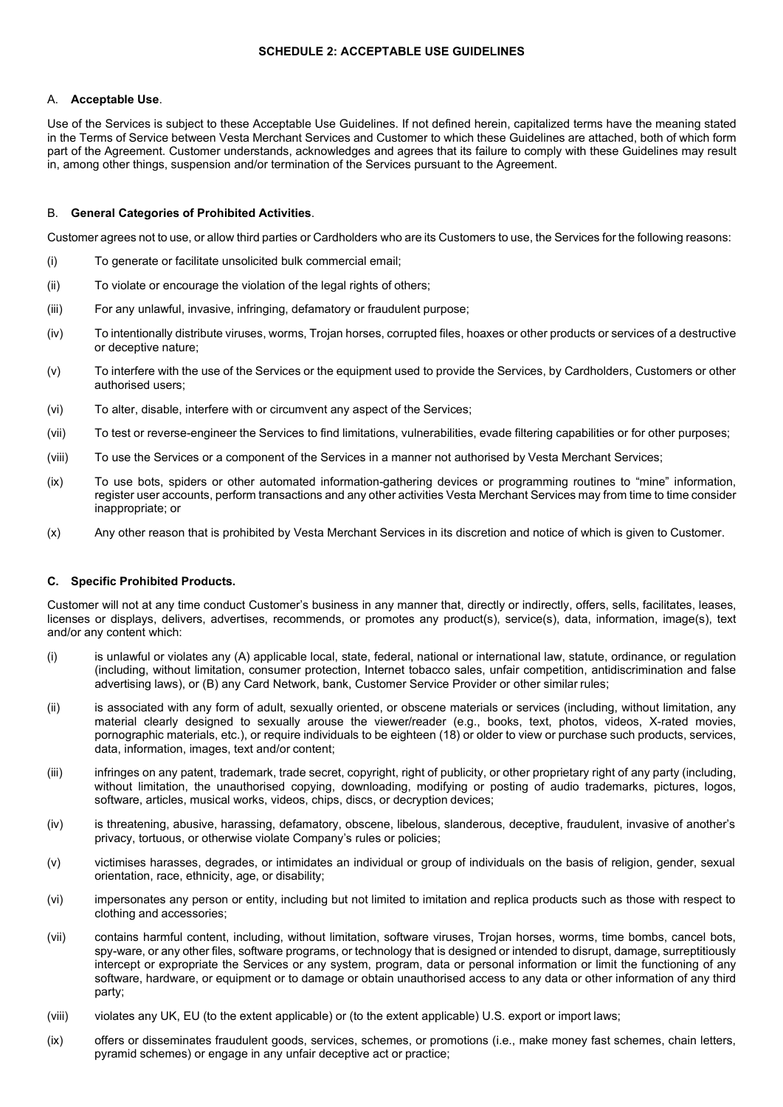### **SCHEDULE 2: ACCEPTABLE USE GUIDELINES**

### A. **Acceptable Use**.

Use of the Services is subject to these Acceptable Use Guidelines. If not defined herein, capitalized terms have the meaning stated in the Terms of Service between Vesta Merchant Services and Customer to which these Guidelines are attached, both of which form part of the Agreement. Customer understands, acknowledges and agrees that its failure to comply with these Guidelines may result in, among other things, suspension and/or termination of the Services pursuant to the Agreement.

### B. **General Categories of Prohibited Activities**.

Customer agrees not to use, or allow third parties or Cardholders who are its Customers to use, the Services for the following reasons:

- (i) To generate or facilitate unsolicited bulk commercial email;
- (ii) To violate or encourage the violation of the legal rights of others;
- (iii) For any unlawful, invasive, infringing, defamatory or fraudulent purpose;
- (iv) To intentionally distribute viruses, worms, Trojan horses, corrupted files, hoaxes or other products or services of a destructive or deceptive nature;
- (v) To interfere with the use of the Services or the equipment used to provide the Services, by Cardholders, Customers or other authorised users;
- (vi) To alter, disable, interfere with or circumvent any aspect of the Services;
- (vii) To test or reverse-engineer the Services to find limitations, vulnerabilities, evade filtering capabilities or for other purposes;
- (viii) To use the Services or a component of the Services in a manner not authorised by Vesta Merchant Services;
- (ix) To use bots, spiders or other automated information-gathering devices or programming routines to "mine" information, register user accounts, perform transactions and any other activities Vesta Merchant Services may from time to time consider inappropriate; or
- (x) Any other reason that is prohibited by Vesta Merchant Services in its discretion and notice of which is given to Customer.

## **C. Specific Prohibited Products.**

Customer will not at any time conduct Customer's business in any manner that, directly or indirectly, offers, sells, facilitates, leases, licenses or displays, delivers, advertises, recommends, or promotes any product(s), service(s), data, information, image(s), text and/or any content which:

- (i) is unlawful or violates any (A) applicable local, state, federal, national or international law, statute, ordinance, or regulation (including, without limitation, consumer protection, Internet tobacco sales, unfair competition, antidiscrimination and false advertising laws), or (B) any Card Network, bank, Customer Service Provider or other similar rules;
- (ii) is associated with any form of adult, sexually oriented, or obscene materials or services (including, without limitation, any material clearly designed to sexually arouse the viewer/reader (e.g., books, text, photos, videos, X-rated movies, pornographic materials, etc.), or require individuals to be eighteen (18) or older to view or purchase such products, services, data, information, images, text and/or content;
- (iii) infringes on any patent, trademark, trade secret, copyright, right of publicity, or other proprietary right of any party (including, without limitation, the unauthorised copying, downloading, modifying or posting of audio trademarks, pictures, logos, software, articles, musical works, videos, chips, discs, or decryption devices;
- (iv) is threatening, abusive, harassing, defamatory, obscene, libelous, slanderous, deceptive, fraudulent, invasive of another's privacy, tortuous, or otherwise violate Company's rules or policies;
- (v) victimises harasses, degrades, or intimidates an individual or group of individuals on the basis of religion, gender, sexual orientation, race, ethnicity, age, or disability;
- (vi) impersonates any person or entity, including but not limited to imitation and replica products such as those with respect to clothing and accessories;
- (vii) contains harmful content, including, without limitation, software viruses, Trojan horses, worms, time bombs, cancel bots, spy-ware, or any other files, software programs, or technology that is designed or intended to disrupt, damage, surreptitiously intercept or expropriate the Services or any system, program, data or personal information or limit the functioning of any software, hardware, or equipment or to damage or obtain unauthorised access to any data or other information of any third party;
- (viii) violates any UK, EU (to the extent applicable) or (to the extent applicable) U.S. export or import laws;
- (ix) offers or disseminates fraudulent goods, services, schemes, or promotions (i.e., make money fast schemes, chain letters, pyramid schemes) or engage in any unfair deceptive act or practice;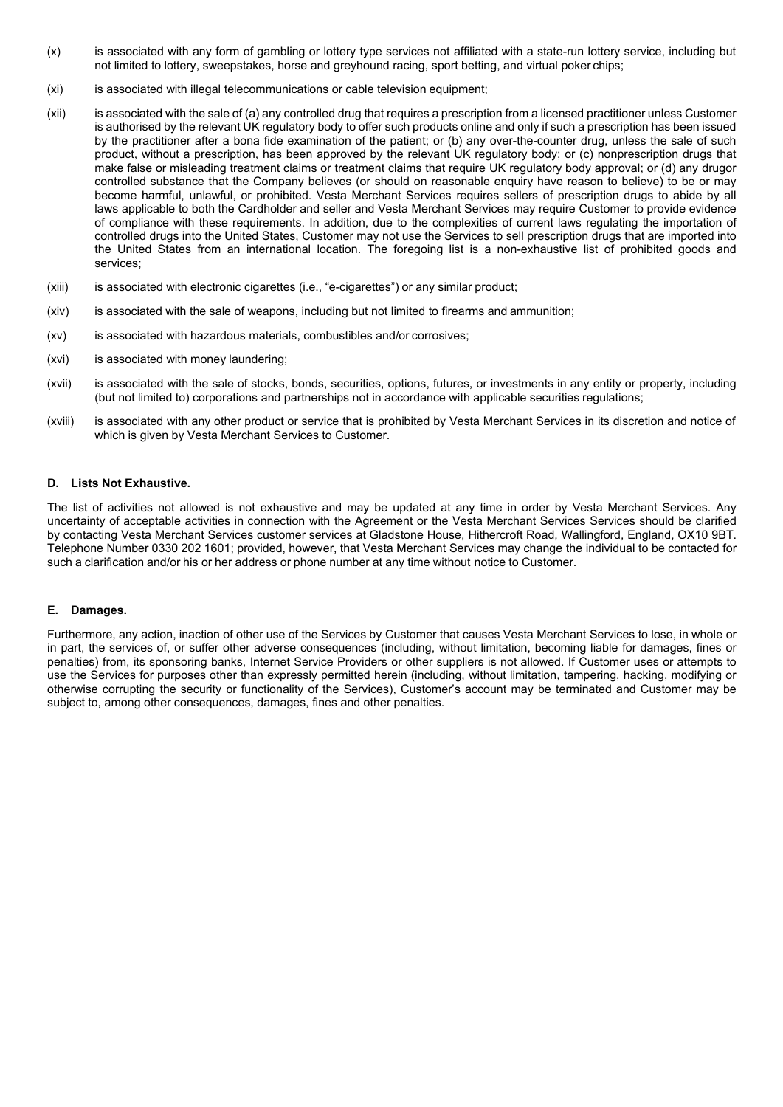- (x) is associated with any form of gambling or lottery type services not affiliated with a state-run lottery service, including but not limited to lottery, sweepstakes, horse and greyhound racing, sport betting, and virtual poker chips;
- (xi) is associated with illegal telecommunications or cable television equipment;
- (xii) is associated with the sale of (a) any controlled drug that requires a prescription from a licensed practitioner unless Customer is authorised by the relevant UK regulatory body to offer such products online and only if such a prescription has been issued by the practitioner after a bona fide examination of the patient; or (b) any over-the-counter drug, unless the sale of such product, without a prescription, has been approved by the relevant UK regulatory body; or (c) nonprescription drugs that make false or misleading treatment claims or treatment claims that require UK regulatory body approval; or (d) any drugor controlled substance that the Company believes (or should on reasonable enquiry have reason to believe) to be or may become harmful, unlawful, or prohibited. Vesta Merchant Services requires sellers of prescription drugs to abide by all laws applicable to both the Cardholder and seller and Vesta Merchant Services may require Customer to provide evidence of compliance with these requirements. In addition, due to the complexities of current laws regulating the importation of controlled drugs into the United States, Customer may not use the Services to sell prescription drugs that are imported into the United States from an international location. The foregoing list is a non-exhaustive list of prohibited goods and services;
- (xiii) is associated with electronic cigarettes (i.e., "e-cigarettes") or any similar product;
- (xiv) is associated with the sale of weapons, including but not limited to firearms and ammunition;
- (xv) is associated with hazardous materials, combustibles and/or corrosives;
- (xvi) is associated with money laundering;
- (xvii) is associated with the sale of stocks, bonds, securities, options, futures, or investments in any entity or property, including (but not limited to) corporations and partnerships not in accordance with applicable securities regulations;
- (xviii) is associated with any other product or service that is prohibited by Vesta Merchant Services in its discretion and notice of which is given by Vesta Merchant Services to Customer.

### **D. Lists Not Exhaustive.**

The list of activities not allowed is not exhaustive and may be updated at any time in order by Vesta Merchant Services. Any uncertainty of acceptable activities in connection with the Agreement or the Vesta Merchant Services Services should be clarified by contacting Vesta Merchant Services customer services at Gladstone House, Hithercroft Road, Wallingford, England, OX10 9BT. Telephone Number 0330 202 1601; provided, however, that Vesta Merchant Services may change the individual to be contacted for such a clarification and/or his or her address or phone number at any time without notice to Customer.

#### **E. Damages.**

Furthermore, any action, inaction of other use of the Services by Customer that causes Vesta Merchant Services to lose, in whole or in part, the services of, or suffer other adverse consequences (including, without limitation, becoming liable for damages, fines or penalties) from, its sponsoring banks, Internet Service Providers or other suppliers is not allowed. If Customer uses or attempts to use the Services for purposes other than expressly permitted herein (including, without limitation, tampering, hacking, modifying or otherwise corrupting the security or functionality of the Services), Customer's account may be terminated and Customer may be subject to, among other consequences, damages, fines and other penalties.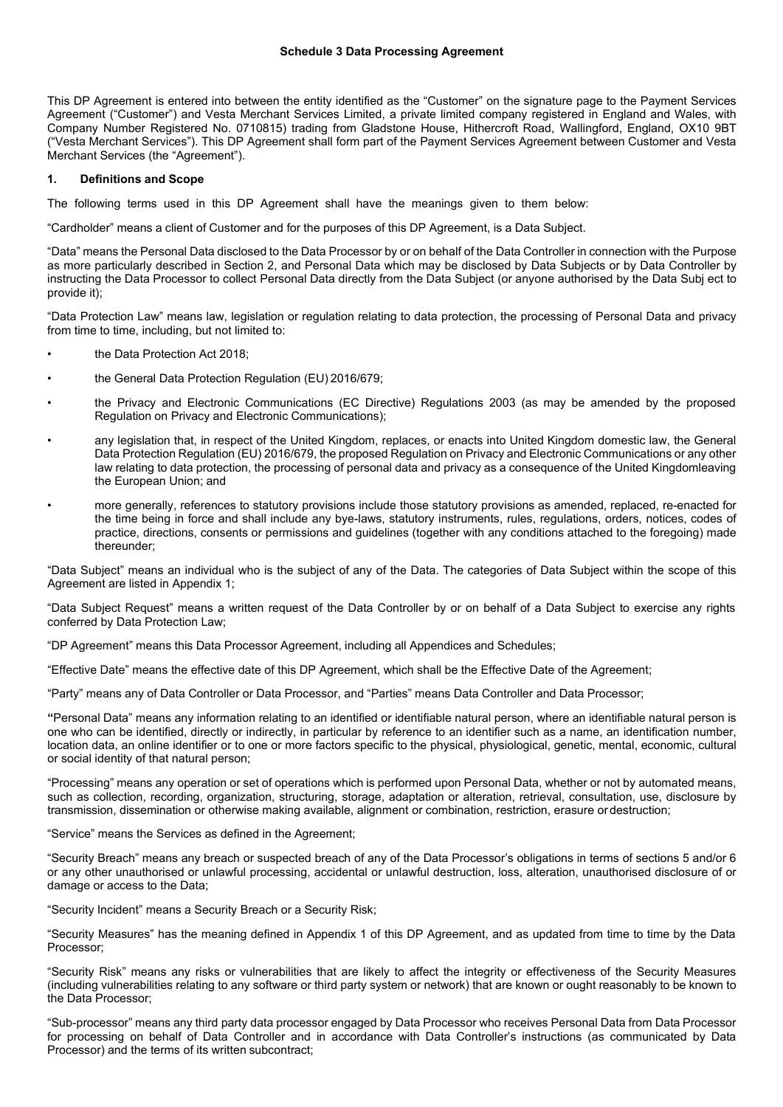This DP Agreement is entered into between the entity identified as the "Customer" on the signature page to the Payment Services Agreement ("Customer") and Vesta Merchant Services Limited, a private limited company registered in England and Wales, with Company Number Registered No. 0710815) trading from Gladstone House, Hithercroft Road, Wallingford, England, OX10 9BT ("Vesta Merchant Services"). This DP Agreement shall form part of the Payment Services Agreement between Customer and Vesta Merchant Services (the "Agreement").

#### **1. Definitions and Scope**

The following terms used in this DP Agreement shall have the meanings given to them below:

"Cardholder" means a client of Customer and for the purposes of this DP Agreement, is a Data Subject.

"Data" means the Personal Data disclosed to the Data Processor by or on behalf of the Data Controller in connection with the Purpose as more particularly described in Section 2, and Personal Data which may be disclosed by Data Subjects or by Data Controller by instructing the Data Processor to collect Personal Data directly from the Data Subject (or anyone authorised by the Data Subj ect to provide it);

"Data Protection Law" means law, legislation or regulation relating to data protection, the processing of Personal Data and privacy from time to time, including, but not limited to:

- the Data Protection Act 2018:
- the General Data Protection Regulation (EU) 2016/679;
- the Privacy and Electronic Communications (EC Directive) Regulations 2003 (as may be amended by the proposed Regulation on Privacy and Electronic Communications);
- any legislation that, in respect of the United Kingdom, replaces, or enacts into United Kingdom domestic law, the General Data Protection Regulation (EU) 2016/679, the proposed Regulation on Privacy and Electronic Communications or any other law relating to data protection, the processing of personal data and privacy as a consequence of the United Kingdomleaving the European Union; and
- more generally, references to statutory provisions include those statutory provisions as amended, replaced, re-enacted for the time being in force and shall include any bye-laws, statutory instruments, rules, regulations, orders, notices, codes of practice, directions, consents or permissions and guidelines (together with any conditions attached to the foregoing) made thereunder;

"Data Subject" means an individual who is the subject of any of the Data. The categories of Data Subject within the scope of this Agreement are listed in Appendix 1;

"Data Subject Request" means a written request of the Data Controller by or on behalf of a Data Subject to exercise any rights conferred by Data Protection Law;

"DP Agreement" means this Data Processor Agreement, including all Appendices and Schedules;

"Effective Date" means the effective date of this DP Agreement, which shall be the Effective Date of the Agreement;

"Party" means any of Data Controller or Data Processor, and "Parties" means Data Controller and Data Processor;

**"**Personal Data" means any information relating to an identified or identifiable natural person, where an identifiable natural person is one who can be identified, directly or indirectly, in particular by reference to an identifier such as a name, an identification number, location data, an online identifier or to one or more factors specific to the physical, physiological, genetic, mental, economic, cultural or social identity of that natural person;

"Processing" means any operation or set of operations which is performed upon Personal Data, whether or not by automated means, such as collection, recording, organization, structuring, storage, adaptation or alteration, retrieval, consultation, use, disclosure by transmission, dissemination or otherwise making available, alignment or combination, restriction, erasure ordestruction;

"Service" means the Services as defined in the Agreement;

"Security Breach" means any breach or suspected breach of any of the Data Processor's obligations in terms of sections 5 and/or 6 or any other unauthorised or unlawful processing, accidental or unlawful destruction, loss, alteration, unauthorised disclosure of or damage or access to the Data;

"Security Incident" means a Security Breach or a Security Risk;

"Security Measures" has the meaning defined in Appendix 1 of this DP Agreement, and as updated from time to time by the Data Processor;

"Security Risk" means any risks or vulnerabilities that are likely to affect the integrity or effectiveness of the Security Measures (including vulnerabilities relating to any software or third party system or network) that are known or ought reasonably to be known to the Data Processor;

"Sub-processor" means any third party data processor engaged by Data Processor who receives Personal Data from Data Processor for processing on behalf of Data Controller and in accordance with Data Controller's instructions (as communicated by Data Processor) and the terms of its written subcontract;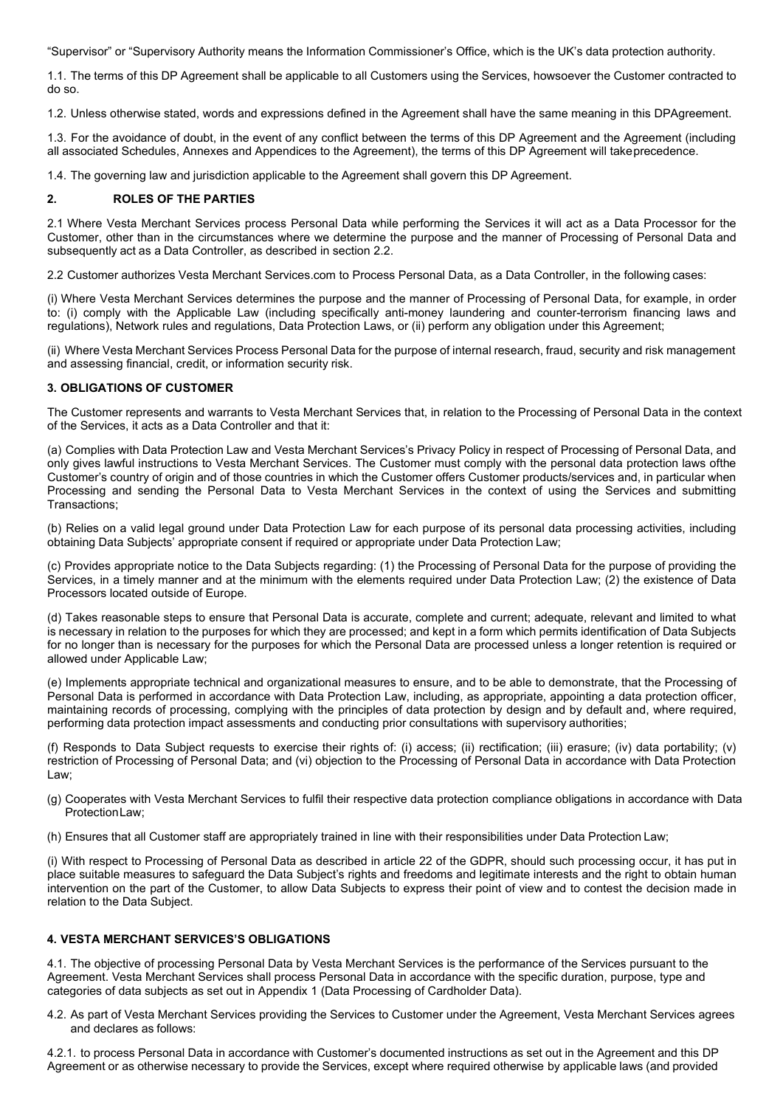"Supervisor" or "Supervisory Authority means the Information Commissioner's Office, which is the UK's data protection authority.

1.1. The terms of this DP Agreement shall be applicable to all Customers using the Services, howsoever the Customer contracted to do so.

1.2. Unless otherwise stated, words and expressions defined in the Agreement shall have the same meaning in this DPAgreement.

1.3. For the avoidance of doubt, in the event of any conflict between the terms of this DP Agreement and the Agreement (including all associated Schedules, Annexes and Appendices to the Agreement), the terms of this DP Agreement will takeprecedence.

1.4. The governing law and jurisdiction applicable to the Agreement shall govern this DP Agreement.

# **2. ROLES OF THE PARTIES**

2.1 Where Vesta Merchant Services process Personal Data while performing the Services it will act as a Data Processor for the Customer, other than in the circumstances where we determine the purpose and the manner of Processing of Personal Data and subsequently act as a Data Controller, as described in section 2.2.

2.2 Customer authorizes Vesta Merchant Services.com to Process Personal Data, as a Data Controller, in the following cases:

(i) Where Vesta Merchant Services determines the purpose and the manner of Processing of Personal Data, for example, in order to: (i) comply with the Applicable Law (including specifically anti-money laundering and counter-terrorism financing laws and regulations), Network rules and regulations, Data Protection Laws, or (ii) perform any obligation under this Agreement;

(ii) Where Vesta Merchant Services Process Personal Data for the purpose of internal research, fraud, security and risk management and assessing financial, credit, or information security risk.

## **3. OBLIGATIONS OF CUSTOMER**

The Customer represents and warrants to Vesta Merchant Services that, in relation to the Processing of Personal Data in the context of the Services, it acts as a Data Controller and that it:

(a) Complies with Data Protection Law and Vesta Merchant Services's Privacy Policy in respect of Processing of Personal Data, and only gives lawful instructions to Vesta Merchant Services. The Customer must comply with the personal data protection laws ofthe Customer's country of origin and of those countries in which the Customer offers Customer products/services and, in particular when Processing and sending the Personal Data to Vesta Merchant Services in the context of using the Services and submitting Transactions;

(b) Relies on a valid legal ground under Data Protection Law for each purpose of its personal data processing activities, including obtaining Data Subjects' appropriate consent if required or appropriate under Data Protection Law;

(c) Provides appropriate notice to the Data Subjects regarding: (1) the Processing of Personal Data for the purpose of providing the Services, in a timely manner and at the minimum with the elements required under Data Protection Law; (2) the existence of Data Processors located outside of Europe.

(d) Takes reasonable steps to ensure that Personal Data is accurate, complete and current; adequate, relevant and limited to what is necessary in relation to the purposes for which they are processed; and kept in a form which permits identification of Data Subjects for no longer than is necessary for the purposes for which the Personal Data are processed unless a longer retention is required or allowed under Applicable Law;

(e) Implements appropriate technical and organizational measures to ensure, and to be able to demonstrate, that the Processing of Personal Data is performed in accordance with Data Protection Law, including, as appropriate, appointing a data protection officer, maintaining records of processing, complying with the principles of data protection by design and by default and, where required, performing data protection impact assessments and conducting prior consultations with supervisory authorities;

(f) Responds to Data Subject requests to exercise their rights of: (i) access; (ii) rectification; (iii) erasure; (iv) data portability; (v) restriction of Processing of Personal Data; and (vi) objection to the Processing of Personal Data in accordance with Data Protection Law:

- (g) Cooperates with Vesta Merchant Services to fulfil their respective data protection compliance obligations in accordance with Data ProtectionLaw;
- (h) Ensures that all Customer staff are appropriately trained in line with their responsibilities under Data Protection Law;

(i) With respect to Processing of Personal Data as described in article 22 of the GDPR, should such processing occur, it has put in place suitable measures to safeguard the Data Subject's rights and freedoms and legitimate interests and the right to obtain human intervention on the part of the Customer, to allow Data Subjects to express their point of view and to contest the decision made in relation to the Data Subject.

## **4. VESTA MERCHANT SERVICES'S OBLIGATIONS**

4.1. The objective of processing Personal Data by Vesta Merchant Services is the performance of the Services pursuant to the Agreement. Vesta Merchant Services shall process Personal Data in accordance with the specific duration, purpose, type and categories of data subjects as set out in Appendix 1 (Data Processing of Cardholder Data).

4.2. As part of Vesta Merchant Services providing the Services to Customer under the Agreement, Vesta Merchant Services agrees and declares as follows:

4.2.1. to process Personal Data in accordance with Customer's documented instructions as set out in the Agreement and this DP Agreement or as otherwise necessary to provide the Services, except where required otherwise by applicable laws (and provided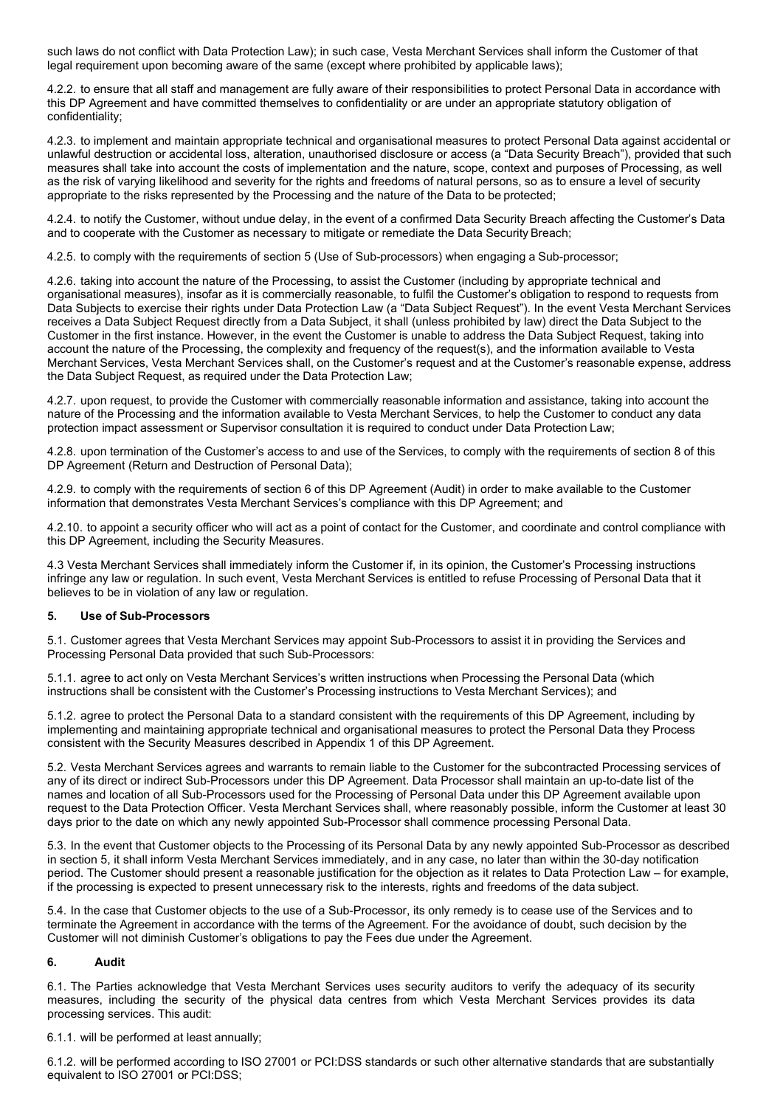such laws do not conflict with Data Protection Law); in such case, Vesta Merchant Services shall inform the Customer of that legal requirement upon becoming aware of the same (except where prohibited by applicable laws);

4.2.2. to ensure that all staff and management are fully aware of their responsibilities to protect Personal Data in accordance with this DP Agreement and have committed themselves to confidentiality or are under an appropriate statutory obligation of confidentiality;

4.2.3. to implement and maintain appropriate technical and organisational measures to protect Personal Data against accidental or unlawful destruction or accidental loss, alteration, unauthorised disclosure or access (a "Data Security Breach"), provided that such measures shall take into account the costs of implementation and the nature, scope, context and purposes of Processing, as well as the risk of varying likelihood and severity for the rights and freedoms of natural persons, so as to ensure a level of security appropriate to the risks represented by the Processing and the nature of the Data to be protected;

4.2.4. to notify the Customer, without undue delay, in the event of a confirmed Data Security Breach affecting the Customer's Data and to cooperate with the Customer as necessary to mitigate or remediate the Data Security Breach;

4.2.5. to comply with the requirements of section 5 (Use of Sub-processors) when engaging a Sub-processor;

4.2.6. taking into account the nature of the Processing, to assist the Customer (including by appropriate technical and organisational measures), insofar as it is commercially reasonable, to fulfil the Customer's obligation to respond to requests from Data Subjects to exercise their rights under Data Protection Law (a "Data Subject Request"). In the event Vesta Merchant Services receives a Data Subject Request directly from a Data Subject, it shall (unless prohibited by law) direct the Data Subject to the Customer in the first instance. However, in the event the Customer is unable to address the Data Subject Request, taking into account the nature of the Processing, the complexity and frequency of the request(s), and the information available to Vesta Merchant Services, Vesta Merchant Services shall, on the Customer's request and at the Customer's reasonable expense, address the Data Subject Request, as required under the Data Protection Law;

4.2.7. upon request, to provide the Customer with commercially reasonable information and assistance, taking into account the nature of the Processing and the information available to Vesta Merchant Services, to help the Customer to conduct any data protection impact assessment or Supervisor consultation it is required to conduct under Data Protection Law;

4.2.8. upon termination of the Customer's access to and use of the Services, to comply with the requirements of section 8 of this DP Agreement (Return and Destruction of Personal Data);

4.2.9. to comply with the requirements of section 6 of this DP Agreement (Audit) in order to make available to the Customer information that demonstrates Vesta Merchant Services's compliance with this DP Agreement; and

4.2.10. to appoint a security officer who will act as a point of contact for the Customer, and coordinate and control compliance with this DP Agreement, including the Security Measures.

4.3 Vesta Merchant Services shall immediately inform the Customer if, in its opinion, the Customer's Processing instructions infringe any law or regulation. In such event, Vesta Merchant Services is entitled to refuse Processing of Personal Data that it believes to be in violation of any law or regulation.

## **5. Use of Sub-Processors**

5.1. Customer agrees that Vesta Merchant Services may appoint Sub-Processors to assist it in providing the Services and Processing Personal Data provided that such Sub-Processors:

5.1.1. agree to act only on Vesta Merchant Services's written instructions when Processing the Personal Data (which instructions shall be consistent with the Customer's Processing instructions to Vesta Merchant Services); and

5.1.2. agree to protect the Personal Data to a standard consistent with the requirements of this DP Agreement, including by implementing and maintaining appropriate technical and organisational measures to protect the Personal Data they Process consistent with the Security Measures described in Appendix 1 of this DP Agreement.

5.2. Vesta Merchant Services agrees and warrants to remain liable to the Customer for the subcontracted Processing services of any of its direct or indirect Sub-Processors under this DP Agreement. Data Processor shall maintain an up-to-date list of the names and location of all Sub-Processors used for the Processing of Personal Data under this DP Agreement available upon request to the Data Protection Officer. Vesta Merchant Services shall, where reasonably possible, inform the Customer at least 30 days prior to the date on which any newly appointed Sub-Processor shall commence processing Personal Data.

5.3. In the event that Customer objects to the Processing of its Personal Data by any newly appointed Sub-Processor as described in section 5, it shall inform Vesta Merchant Services immediately, and in any case, no later than within the 30-day notification period. The Customer should present a reasonable justification for the objection as it relates to Data Protection Law – for example, if the processing is expected to present unnecessary risk to the interests, rights and freedoms of the data subject.

5.4. In the case that Customer objects to the use of a Sub-Processor, its only remedy is to cease use of the Services and to terminate the Agreement in accordance with the terms of the Agreement. For the avoidance of doubt, such decision by the Customer will not diminish Customer's obligations to pay the Fees due under the Agreement.

## **6. Audit**

6.1. The Parties acknowledge that Vesta Merchant Services uses security auditors to verify the adequacy of its security measures, including the security of the physical data centres from which Vesta Merchant Services provides its data processing services. This audit:

6.1.1. will be performed at least annually;

6.1.2. will be performed according to ISO 27001 or PCI:DSS standards or such other alternative standards that are substantially equivalent to ISO 27001 or PCI:DSS;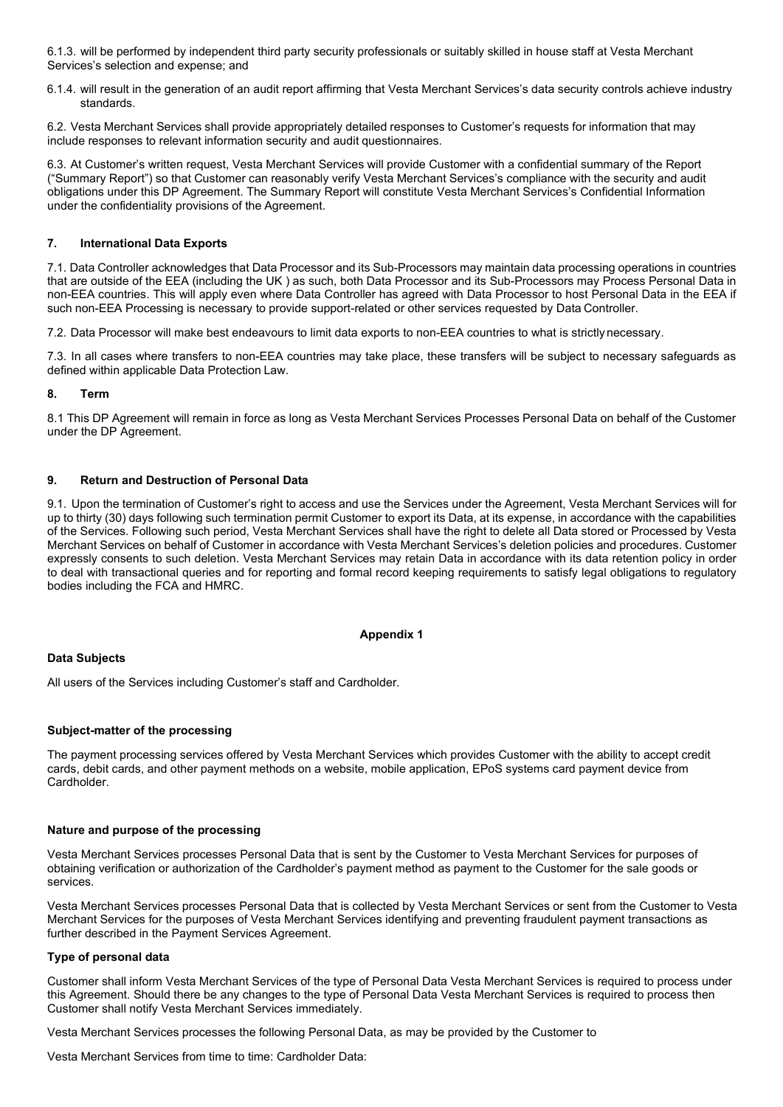6.1.3. will be performed by independent third party security professionals or suitably skilled in house staff at Vesta Merchant Services's selection and expense; and

6.1.4. will result in the generation of an audit report affirming that Vesta Merchant Services's data security controls achieve industry standards.

6.2. Vesta Merchant Services shall provide appropriately detailed responses to Customer's requests for information that may include responses to relevant information security and audit questionnaires.

6.3. At Customer's written request, Vesta Merchant Services will provide Customer with a confidential summary of the Report ("Summary Report") so that Customer can reasonably verify Vesta Merchant Services's compliance with the security and audit obligations under this DP Agreement. The Summary Report will constitute Vesta Merchant Services's Confidential Information under the confidentiality provisions of the Agreement.

## **7. International Data Exports**

7.1. Data Controller acknowledges that Data Processor and its Sub-Processors may maintain data processing operations in countries that are outside of the EEA (including the UK ) as such, both Data Processor and its Sub-Processors may Process Personal Data in non-EEA countries. This will apply even where Data Controller has agreed with Data Processor to host Personal Data in the EEA if such non-EEA Processing is necessary to provide support-related or other services requested by Data Controller.

7.2. Data Processor will make best endeavours to limit data exports to non-EEA countries to what is strictly necessary.

7.3. In all cases where transfers to non-EEA countries may take place, these transfers will be subject to necessary safeguards as defined within applicable Data Protection Law.

#### **8. Term**

8.1 This DP Agreement will remain in force as long as Vesta Merchant Services Processes Personal Data on behalf of the Customer under the DP Agreement.

#### **9. Return and Destruction of Personal Data**

9.1. Upon the termination of Customer's right to access and use the Services under the Agreement, Vesta Merchant Services will for up to thirty (30) days following such termination permit Customer to export its Data, at its expense, in accordance with the capabilities of the Services. Following such period, Vesta Merchant Services shall have the right to delete all Data stored or Processed by Vesta Merchant Services on behalf of Customer in accordance with Vesta Merchant Services's deletion policies and procedures. Customer expressly consents to such deletion. Vesta Merchant Services may retain Data in accordance with its data retention policy in order to deal with transactional queries and for reporting and formal record keeping requirements to satisfy legal obligations to regulatory bodies including the FCA and HMRC.

#### **Appendix 1**

#### **Data Subjects**

All users of the Services including Customer's staff and Cardholder.

#### **Subject-matter of the processing**

The payment processing services offered by Vesta Merchant Services which provides Customer with the ability to accept credit cards, debit cards, and other payment methods on a website, mobile application, EPoS systems card payment device from Cardholder.

#### **Nature and purpose of the processing**

Vesta Merchant Services processes Personal Data that is sent by the Customer to Vesta Merchant Services for purposes of obtaining verification or authorization of the Cardholder's payment method as payment to the Customer for the sale goods or services.

Vesta Merchant Services processes Personal Data that is collected by Vesta Merchant Services or sent from the Customer to Vesta Merchant Services for the purposes of Vesta Merchant Services identifying and preventing fraudulent payment transactions as further described in the Payment Services Agreement.

#### **Type of personal data**

Customer shall inform Vesta Merchant Services of the type of Personal Data Vesta Merchant Services is required to process under this Agreement. Should there be any changes to the type of Personal Data Vesta Merchant Services is required to process then Customer shall notify Vesta Merchant Services immediately.

Vesta Merchant Services processes the following Personal Data, as may be provided by the Customer to

Vesta Merchant Services from time to time: Cardholder Data: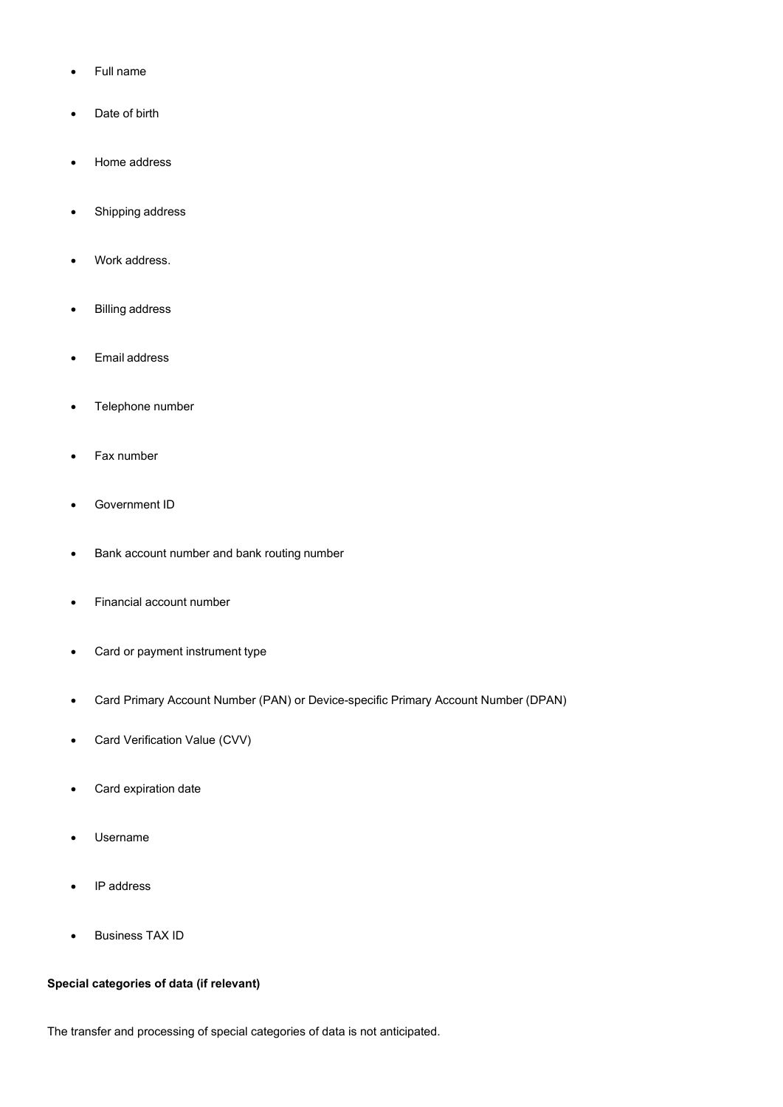- Full name
- Date of birth
- Home address
- Shipping address
- Work address.
- **Billing address**
- Email address
- Telephone number
- Fax number
- Government ID
- Bank account number and bank routing number
- Financial account number
- Card or payment instrument type
- Card Primary Account Number (PAN) or Device-specific Primary Account Number (DPAN)
- Card Verification Value (CVV)
- Card expiration date
- Username
- IP address
- Business TAX ID

# **Special categories of data (if relevant)**

The transfer and processing of special categories of data is not anticipated.